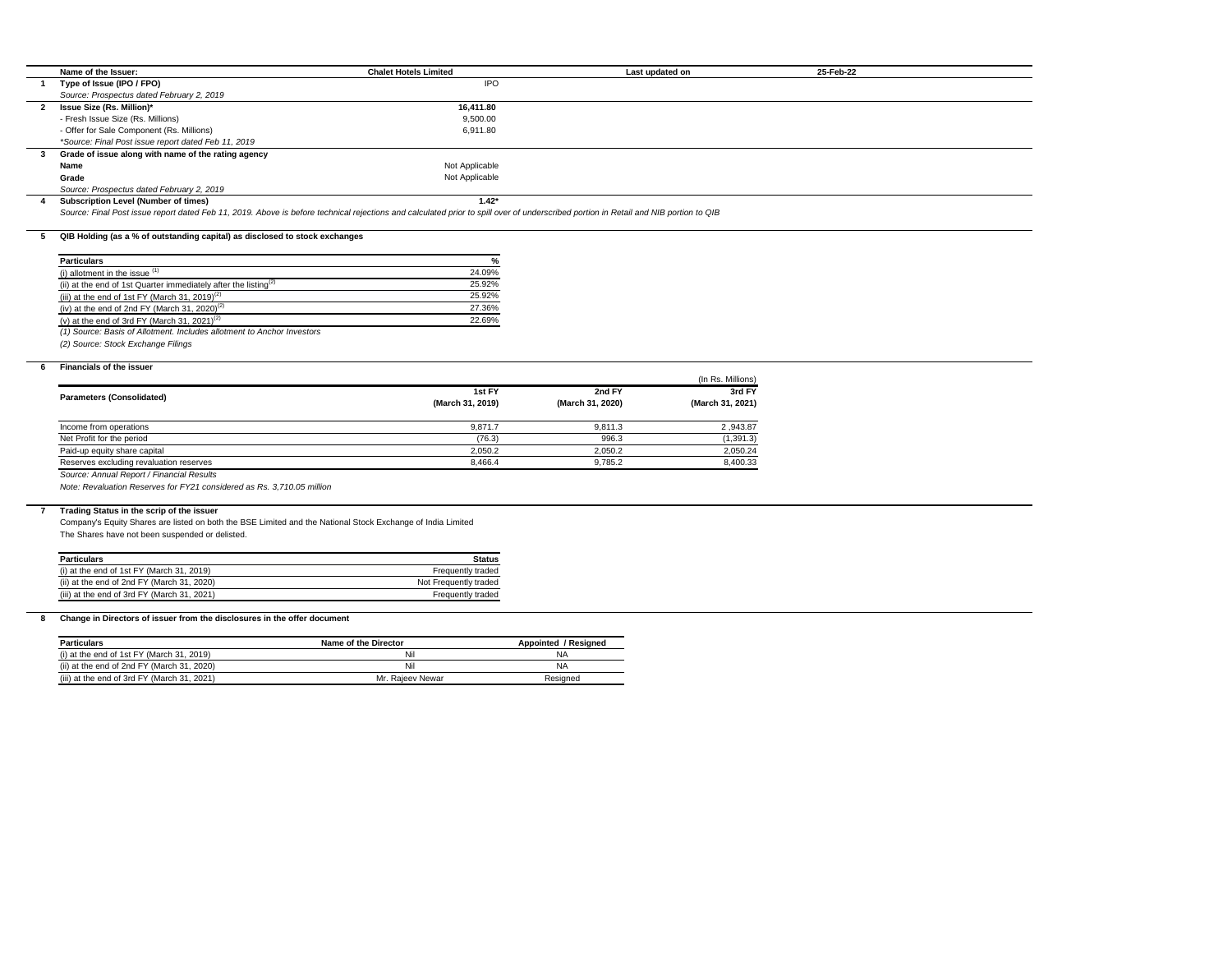|              | Name of the Issuer:                                                                                                                                                                  | <b>Chalet Hotels Limited</b> |                  | Last updated on   | 25-Feb-22 |  |
|--------------|--------------------------------------------------------------------------------------------------------------------------------------------------------------------------------------|------------------------------|------------------|-------------------|-----------|--|
| $\mathbf 1$  | Type of Issue (IPO / FPO)                                                                                                                                                            | <b>IPO</b>                   |                  |                   |           |  |
|              | Source: Prospectus dated February 2, 2019                                                                                                                                            |                              |                  |                   |           |  |
| $\mathbf{2}$ | <b>Issue Size (Rs. Million)*</b>                                                                                                                                                     | 16,411.80                    |                  |                   |           |  |
|              | - Fresh Issue Size (Rs. Millions)                                                                                                                                                    | 9,500.00                     |                  |                   |           |  |
|              | - Offer for Sale Component (Rs. Millions)                                                                                                                                            | 6,911.80                     |                  |                   |           |  |
|              | *Source: Final Post issue report dated Feb 11, 2019                                                                                                                                  |                              |                  |                   |           |  |
| 3            | Grade of issue along with name of the rating agency                                                                                                                                  |                              |                  |                   |           |  |
|              | Name                                                                                                                                                                                 | Not Applicable               |                  |                   |           |  |
|              | Grade                                                                                                                                                                                | Not Applicable               |                  |                   |           |  |
|              | Source: Prospectus dated February 2, 2019                                                                                                                                            |                              |                  |                   |           |  |
| 4            | <b>Subscription Level (Number of times)</b>                                                                                                                                          | $1.42*$                      |                  |                   |           |  |
|              | Source: Final Post issue report dated Feb 11, 2019. Above is before technical rejections and calculated prior to spill over of underscribed portion in Retail and NIB portion to QIB |                              |                  |                   |           |  |
|              |                                                                                                                                                                                      |                              |                  |                   |           |  |
| 5            | QIB Holding (as a % of outstanding capital) as disclosed to stock exchanges                                                                                                          |                              |                  |                   |           |  |
|              |                                                                                                                                                                                      |                              |                  |                   |           |  |
|              | <b>Particulars</b>                                                                                                                                                                   | %                            |                  |                   |           |  |
|              | (i) allotment in the issue $(1)$                                                                                                                                                     | 24.09%                       |                  |                   |           |  |
|              | (ii) at the end of 1st Quarter immediately after the listing <sup>(2)</sup>                                                                                                          | 25.92%                       |                  |                   |           |  |
|              | (iii) at the end of 1st FY (March 31, 2019) <sup>(2)</sup>                                                                                                                           | 25.92%                       |                  |                   |           |  |
|              | (iv) at the end of 2nd FY (March 31, 2020) <sup>(2)</sup>                                                                                                                            | 27.36%                       |                  |                   |           |  |
|              | (v) at the end of 3rd FY (March 31, 2021) <sup>(2)</sup>                                                                                                                             | 22.69%                       |                  |                   |           |  |
|              | (1) Source: Basis of Allotment. Includes allotment to Anchor Investors                                                                                                               |                              |                  |                   |           |  |
|              | (2) Source: Stock Exchange Filings                                                                                                                                                   |                              |                  |                   |           |  |
|              |                                                                                                                                                                                      |                              |                  |                   |           |  |
| 6            | <b>Financials of the issuer</b>                                                                                                                                                      |                              |                  |                   |           |  |
|              |                                                                                                                                                                                      |                              |                  | (In Rs. Millions) |           |  |
|              | <b>Parameters (Consolidated)</b>                                                                                                                                                     | 1st FY                       | 2nd FY           | 3rd FY            |           |  |
|              |                                                                                                                                                                                      | (March 31, 2019)             | (March 31, 2020) | (March 31, 2021)  |           |  |
|              |                                                                                                                                                                                      |                              |                  |                   |           |  |
|              | Income from operations                                                                                                                                                               | 9,871.7                      | 9,811.3          | 2,943.87          |           |  |
|              | Net Profit for the period                                                                                                                                                            | (76.3)                       | 996.3            | (1, 391.3)        |           |  |
|              | Paid-up equity share capital                                                                                                                                                         | 2,050.2                      | 2,050.2          | 2,050.24          |           |  |
|              | Reserves excluding revaluation reserves                                                                                                                                              | 8,466.4                      | 9,785.2          | 8,400.33          |           |  |
|              | Source: Annual Report / Financial Results                                                                                                                                            |                              |                  |                   |           |  |
|              | Note: Revaluation Reserves for FY21 considered as Rs. 3,710.05 million                                                                                                               |                              |                  |                   |           |  |
|              |                                                                                                                                                                                      |                              |                  |                   |           |  |
|              | Trading Status in the scrip of the issuer                                                                                                                                            |                              |                  |                   |           |  |
|              | Company's Equity Shares are listed on both the BSE Limited and the National Stock Exchange of India Limited                                                                          |                              |                  |                   |           |  |
|              | The Shares have not been suspended or delisted.                                                                                                                                      |                              |                  |                   |           |  |
|              |                                                                                                                                                                                      |                              |                  |                   |           |  |
|              | <b>Particulars</b>                                                                                                                                                                   | <b>Status</b>                |                  |                   |           |  |
|              | (i) at the end of 1st FY (March 31, 2019)                                                                                                                                            | Frequently traded            |                  |                   |           |  |
|              | (ii) at the end of 2nd FY (March 31, 2020)                                                                                                                                           | Not Frequently traded        |                  |                   |           |  |
|              | (iii) at the end of 3rd FY (March 31, 2021)                                                                                                                                          | Frequently traded            |                  |                   |           |  |
|              |                                                                                                                                                                                      |                              |                  |                   |           |  |
| 8            | Change in Directors of issuer from the disclosures in the offer document                                                                                                             |                              |                  |                   |           |  |

| <b>Particulars</b>                          | Name of the Director | Appointed / Resigned |
|---------------------------------------------|----------------------|----------------------|
| (i) at the end of 1st FY (March 31, 2019)   | Nil                  | NA                   |
| (ii) at the end of 2nd FY (March 31, 2020)  | Nil                  | NA                   |
| (iii) at the end of 3rd FY (March 31, 2021) | Mr. Raieev Newar     | Resigned             |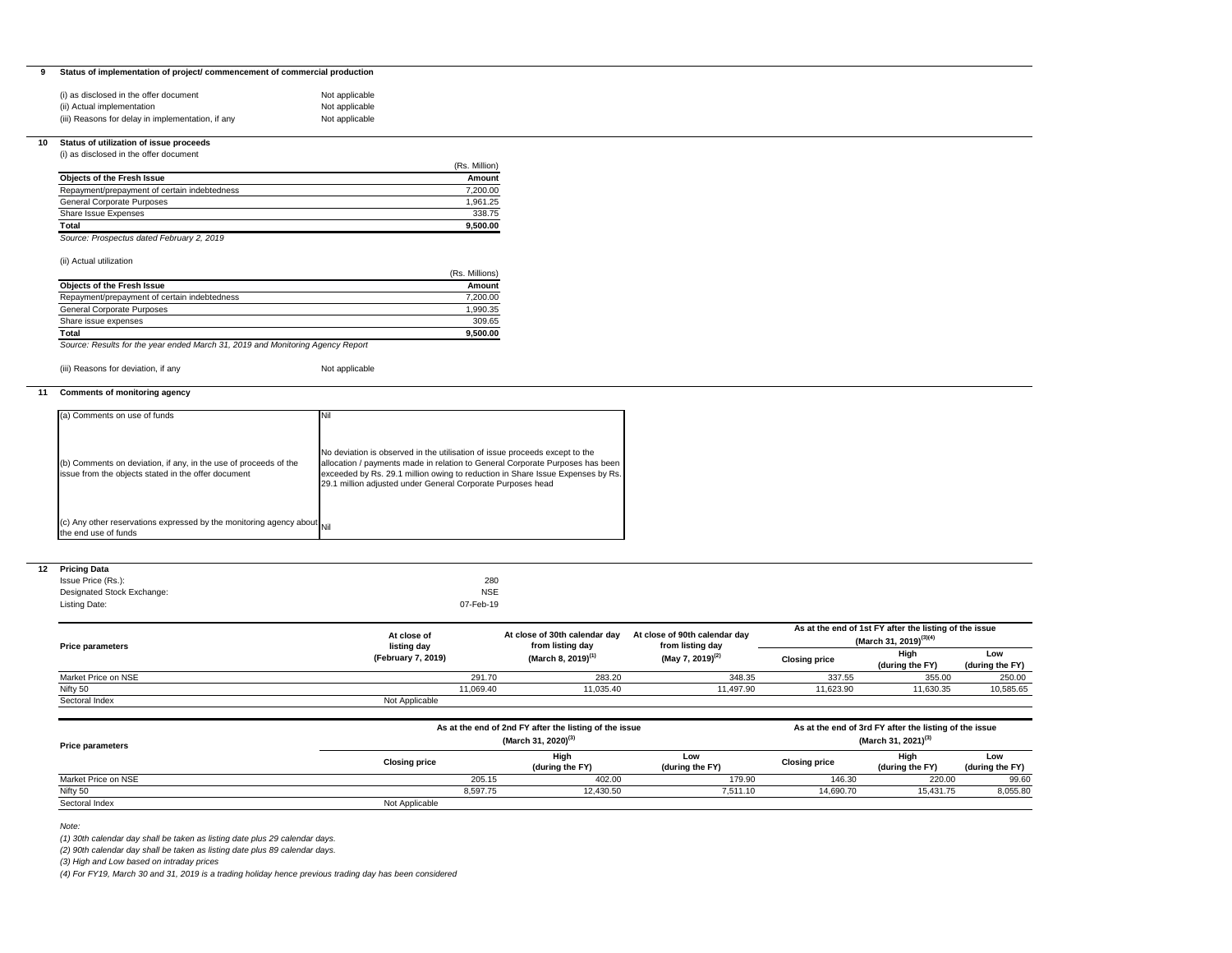# **9 Status of implementation of project/ commencement of commercial production**

| (i) as disclosed in the offer document            | Not applicable |
|---------------------------------------------------|----------------|
| (ii) Actual implementation                        | Not applicable |
| (iii) Reasons for delay in implementation, if any | Not applicable |

## **10 Status of utilization of issue proceeds**

(i) as disclosed in the offer document

| (Rs. Million) |
|---------------|
| Amount        |
| 7,200.00      |
| 1.961.25      |
| 338.75        |
| 9,500.00      |
|               |

*Source: Prospectus dated February 2, 2019*

## (ii) Actual utilization

|                                              | (Rs. Millions) |
|----------------------------------------------|----------------|
| <b>Objects of the Fresh Issue</b>            | Amount         |
| Repayment/prepayment of certain indebtedness | 7.200.00       |
| <b>General Corporate Purposes</b>            | 1,990.35       |
| Share issue expenses                         | 309.65         |
| Total                                        | 9.500.00       |

*Source: Results for the year ended March 31, 2019 and Monitoring Agency Report*

(iii) Reasons for deviation, if any Not applicable

# **11 Comments of monitoring agency**

### **12 Pricing Data**

| <b>Friting Data</b>        |            |
|----------------------------|------------|
| Issue Price (Rs.):         | 280        |
| Designated Stock Exchange: | <b>NSE</b> |
| Listing Date:              | 07-Feb-19  |

| (a) Comments on use of funds                                                                                            | Nil                                                                                                                                                                                                                                                                                                           |
|-------------------------------------------------------------------------------------------------------------------------|---------------------------------------------------------------------------------------------------------------------------------------------------------------------------------------------------------------------------------------------------------------------------------------------------------------|
| (b) Comments on deviation, if any, in the use of proceeds of the<br>issue from the objects stated in the offer document | No deviation is observed in the utilisation of issue proceeds except to the<br>allocation / payments made in relation to General Corporate Purposes has been<br>exceeded by Rs. 29.1 million owing to reduction in Share Issue Expenses by Rs.<br>29.1 million adjusted under General Corporate Purposes head |
| (c) Any other reservations expressed by the monitoring agency about $\vert$ Nil<br>the end use of funds                 |                                                                                                                                                                                                                                                                                                               |

*Note:* 

*(1) 30th calendar day shall be taken as listing date plus 29 calendar days.*

| <b>Price parameters</b> |                      | (March 31, 2020) <sup>(3)</sup> |                         |                        | (March 31, 2021) <sup>(3)</sup> |                         |                        |
|-------------------------|----------------------|---------------------------------|-------------------------|------------------------|---------------------------------|-------------------------|------------------------|
|                         | <b>Closing price</b> |                                 | High<br>(during the FY) | Low<br>(during the FY) | <b>Closing price</b>            | High<br>(during the FY) | Low<br>(during the FY) |
| Market Price on NSE     |                      | 205.15                          | 402.00                  | 179.90                 | 146.30                          | 220.00                  | 99.60                  |
| Nifty 50                |                      | 8,597.75                        | 12,430.50               | 7,511.10               | 14,690.70                       | 15,431.75               | 8,055.80               |
| Sectoral Index          | Not Applicable       |                                 |                         |                        |                                 |                         |                        |

*(2) 90th calendar day shall be taken as listing date plus 89 calendar days.* 

*(3) High and Low based on intraday prices*

*(4) For FY19, March 30 and 31, 2019 is a trading holiday hence previous trading day has been considered*

| <b>Price parameters</b> | At close of<br>listing day | At close of 30th calendar day<br>from listing day      | At close of 90th calendar day<br>from listing day | As at the end of 1st FY after the listing of the issue<br>(March 31, 2019) <sup>(3)(4)</sup> |                                                        |                        |
|-------------------------|----------------------------|--------------------------------------------------------|---------------------------------------------------|----------------------------------------------------------------------------------------------|--------------------------------------------------------|------------------------|
|                         | (February 7, 2019)         | (March 8, 2019) <sup>(1)</sup>                         | (May 7, 2019) <sup>(2)</sup>                      | <b>Closing price</b>                                                                         | High<br>(during the FY)                                | Low<br>(during the FY) |
| Market Price on NSE     |                            | 283.20<br>291.70                                       | 348.35                                            | 337.55                                                                                       | 355.00                                                 | 250.00                 |
| Nifty 50                | 11,069.40                  | 11,035.40                                              | 11,497.90                                         | 11,623.90                                                                                    | 11,630.35                                              | 10,585.65              |
| Sectoral Index          | Not Applicable             |                                                        |                                                   |                                                                                              |                                                        |                        |
|                         |                            | As at the end of 2nd FY after the listing of the issue |                                                   |                                                                                              | As at the end of 3rd FY after the listing of the issue |                        |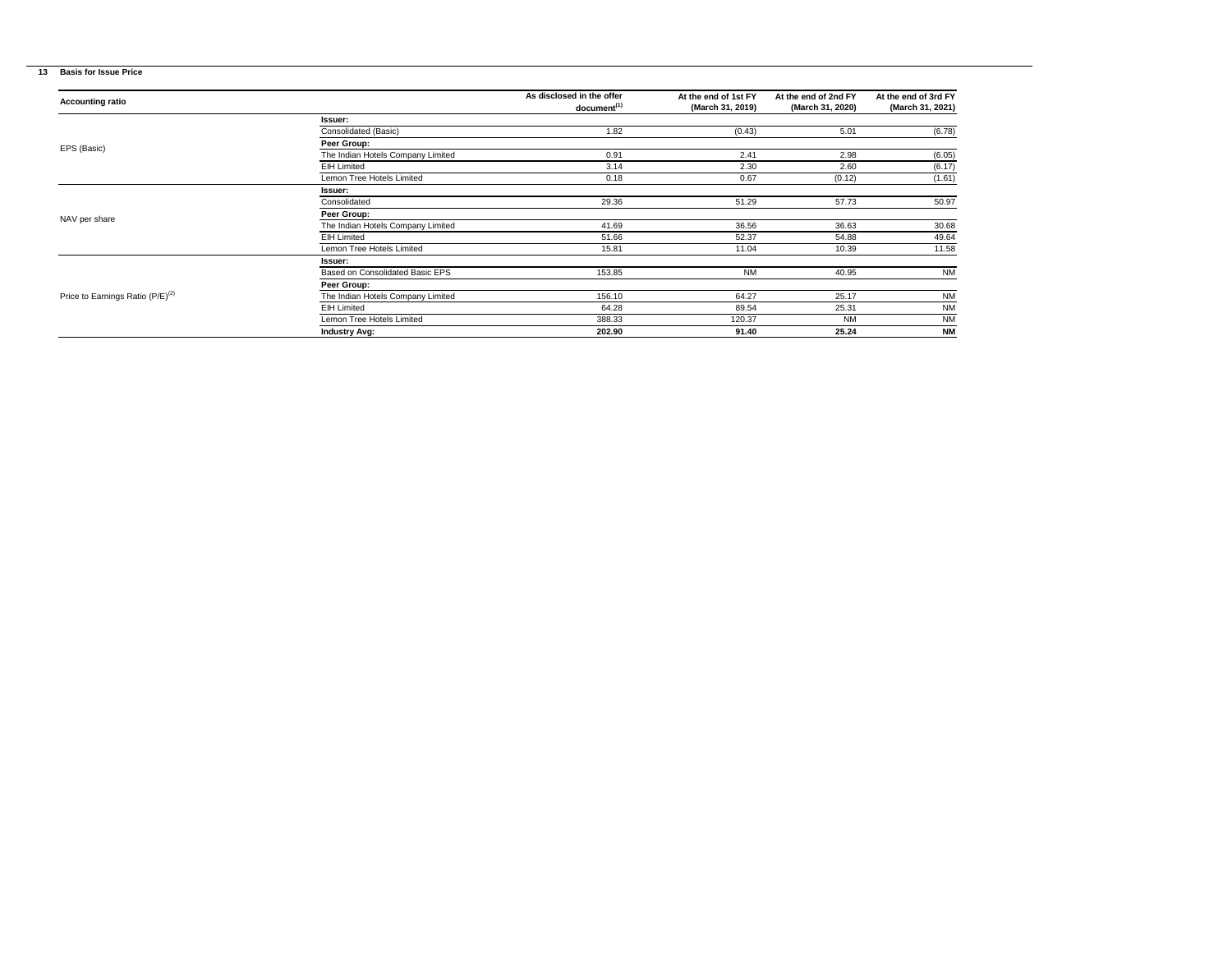# **13 Basis for Issue Price**

| <b>Accounting ratio</b>                      |                                   | As disclosed in the offer<br>document <sup>(1)</sup> | At the end of 1st FY<br>(March 31, 2019) | At the end of 2nd FY<br>(March 31, 2020) | At the end of 3rd FY<br>(March 31, 2021) |
|----------------------------------------------|-----------------------------------|------------------------------------------------------|------------------------------------------|------------------------------------------|------------------------------------------|
|                                              | Issuer:                           |                                                      |                                          |                                          |                                          |
|                                              | Consolidated (Basic)              | 1.82                                                 | (0.43)                                   | 5.01                                     | (6.78)                                   |
|                                              | Peer Group:                       |                                                      |                                          |                                          |                                          |
| EPS (Basic)                                  | The Indian Hotels Company Limited | 0.91                                                 | 2.41                                     | 2.98                                     | (6.05)                                   |
|                                              | <b>EIH Limited</b>                | 3.14                                                 | 2.30                                     | 2.60                                     | (6.17)                                   |
|                                              | Lemon Tree Hotels Limited         | 0.18                                                 | 0.67                                     | (0.12)                                   | (1.61)                                   |
|                                              | Issuer:                           |                                                      |                                          |                                          |                                          |
|                                              | Consolidated                      | 29.36                                                | 51.29                                    | 57.73                                    | 50.97                                    |
| NAV per share                                | Peer Group:                       |                                                      |                                          |                                          |                                          |
|                                              | The Indian Hotels Company Limited | 41.69                                                | 36.56                                    | 36.63                                    | 30.68                                    |
|                                              | <b>EIH Limited</b>                | 51.66                                                | 52.37                                    | 54.88                                    | 49.64                                    |
|                                              | Lemon Tree Hotels Limited         | 15.81                                                | 11.04                                    | 10.39                                    | 11.58                                    |
|                                              | <b>Issuer:</b>                    |                                                      |                                          |                                          |                                          |
|                                              | Based on Consolidated Basic EPS   | 153.85                                               | <b>NM</b>                                | 40.95                                    | <b>NM</b>                                |
|                                              | Peer Group:                       |                                                      |                                          |                                          |                                          |
| Price to Earnings Ratio (P/E) <sup>(2)</sup> | The Indian Hotels Company Limited | 156.10                                               | 64.27                                    | 25.17                                    | <b>NM</b>                                |
|                                              | <b>EIH Limited</b>                | 64.28                                                | 89.54                                    | 25.31                                    | <b>NM</b>                                |
|                                              | Lemon Tree Hotels Limited         | 388.33                                               | 120.37                                   | <b>NM</b>                                | <b>NM</b>                                |
|                                              | <b>Industry Avg:</b>              | 202.90                                               | 91.40                                    | 25.24                                    | <b>NM</b>                                |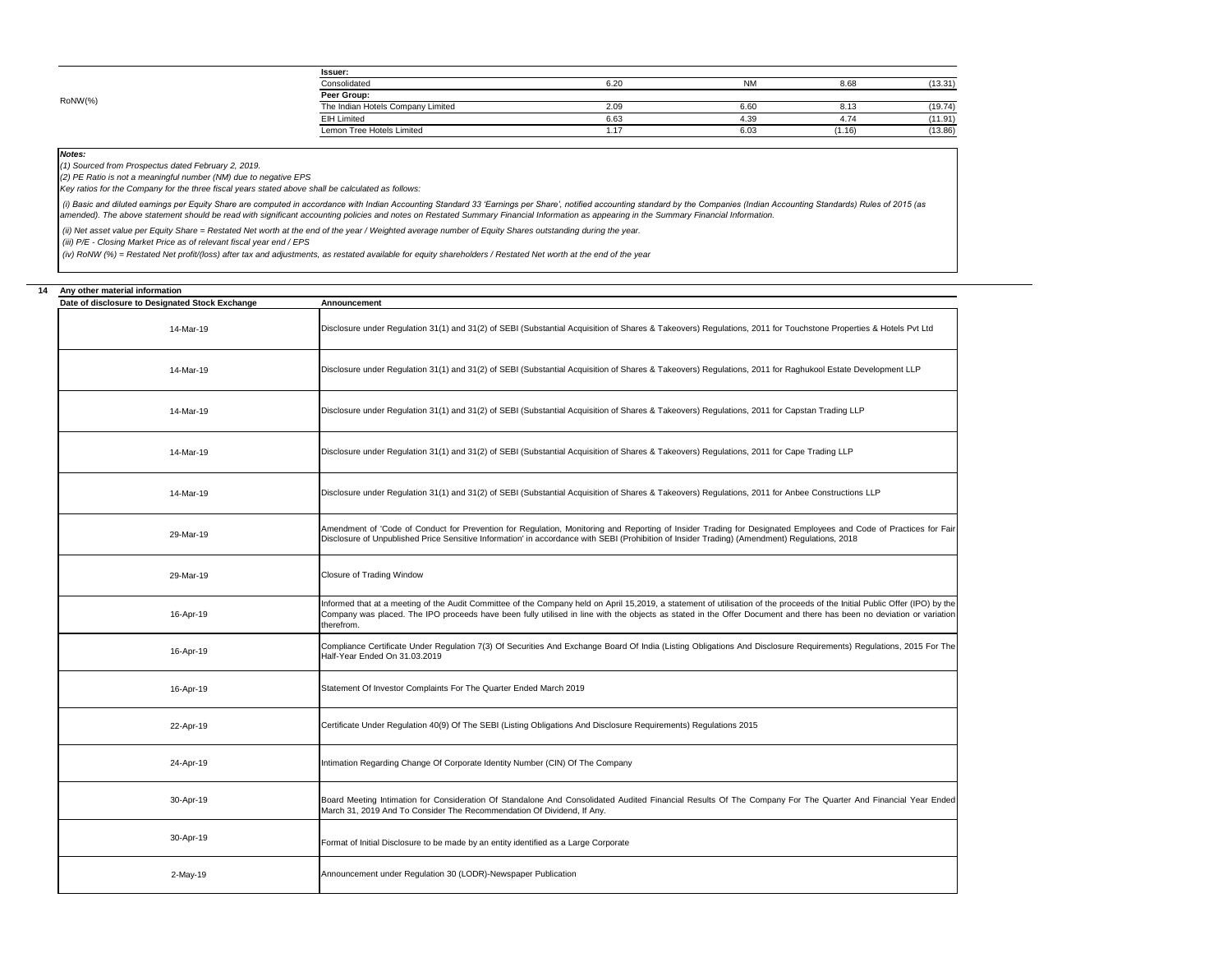*Notes:*

| <b>Issuer:</b>                    |      |      |        |         |  |  |  |
|-----------------------------------|------|------|--------|---------|--|--|--|
| Consolidated                      | 6.20 | ΝM   | 8.66   | (13.31) |  |  |  |
| Peer Group:                       |      |      |        |         |  |  |  |
| The Indian Hotels Company Limited | 2.09 | 6.60 | 8.13   | (19.74) |  |  |  |
| <b>EIH Limited</b>                | 6.63 | 4.39 | 4.74   | (11.91) |  |  |  |
| Lemon Tree Hotels Limited         | -11  | 6.03 | (1.16) | (13.86) |  |  |  |
|                                   |      |      |        |         |  |  |  |

(i) Basic and diluted earnings per Equity Share are computed in accordance with Indian Accounting Standard 33 'Earnings per Share', notified accounting standard by the Companies (Indian Accounting Standards) Rules of 2015 *amended). The above statement should be read with significant accounting policies and notes on Restated Summary Financial Information as appearing in the Summary Financial Information.*

| 14 | Any other material information                  |                                                                                                                                                                                                                                                                                                                                                                  |
|----|-------------------------------------------------|------------------------------------------------------------------------------------------------------------------------------------------------------------------------------------------------------------------------------------------------------------------------------------------------------------------------------------------------------------------|
|    | Date of disclosure to Designated Stock Exchange | <b>Announcement</b>                                                                                                                                                                                                                                                                                                                                              |
|    | 14-Mar-19                                       | Disclosure under Regulation 31(1) and 31(2) of SEBI (Substantial Acquisition of Shares & Takeovers) Regulations, 2011 for Touchstone Properties & Hotels Pvt Ltd                                                                                                                                                                                                 |
|    | 14-Mar-19                                       | Disclosure under Regulation 31(1) and 31(2) of SEBI (Substantial Acquisition of Shares & Takeovers) Regulations, 2011 for Raghukool Estate Development LLP                                                                                                                                                                                                       |
|    | 14-Mar-19                                       | Disclosure under Regulation 31(1) and 31(2) of SEBI (Substantial Acquisition of Shares & Takeovers) Regulations, 2011 for Capstan Trading LLP                                                                                                                                                                                                                    |
|    | 14-Mar-19                                       | Disclosure under Regulation 31(1) and 31(2) of SEBI (Substantial Acquisition of Shares & Takeovers) Regulations, 2011 for Cape Trading LLP                                                                                                                                                                                                                       |
|    | 14-Mar-19                                       | Disclosure under Regulation 31(1) and 31(2) of SEBI (Substantial Acquisition of Shares & Takeovers) Regulations, 2011 for Anbee Constructions LLP                                                                                                                                                                                                                |
|    | 29-Mar-19                                       | Amendment of 'Code of Conduct for Prevention for Regulation, Monitoring and Reporting of Insider Trading for Designated Employees and Code of Practices for Fair<br>Disclosure of Unpublished Price Sensitive Information' in accordance with SEBI (Prohibition of Insider Trading) (Amendment) Regulations, 2018                                                |
|    | 29-Mar-19                                       | <b>Closure of Trading Window</b>                                                                                                                                                                                                                                                                                                                                 |
|    | 16-Apr-19                                       | Informed that at a meeting of the Audit Committee of the Company held on April 15,2019, a statement of utilisation of the proceeds of the Initial Public Offer (IPO) by the<br>Company was placed. The IPO proceeds have been fully utilised in line with the objects as stated in the Offer Document and there has been no deviation or variation<br>therefrom. |
|    | 16-Apr-19                                       | Compliance Certificate Under Regulation 7(3) Of Securities And Exchange Board Of India (Listing Obligations And Disclosure Requirements) Regulations, 2015 For The<br>Half-Year Ended On 31.03.2019                                                                                                                                                              |
|    | 16-Apr-19                                       | Statement Of Investor Complaints For The Quarter Ended March 2019                                                                                                                                                                                                                                                                                                |
|    | 22-Apr-19                                       | Certificate Under Regulation 40(9) Of The SEBI (Listing Obligations And Disclosure Requirements) Regulations 2015                                                                                                                                                                                                                                                |
|    | 24-Apr-19                                       | Intimation Regarding Change Of Corporate Identity Number (CIN) Of The Company                                                                                                                                                                                                                                                                                    |
|    | 30-Apr-19                                       | Board Meeting Intimation for Consideration Of Standalone And Consolidated Audited Financial Results Of The Company For The Quarter And Financial Year Ended<br>March 31, 2019 And To Consider The Recommendation Of Dividend, If Any.                                                                                                                            |
|    | 30-Apr-19                                       | Format of Initial Disclosure to be made by an entity identified as a Large Corporate                                                                                                                                                                                                                                                                             |
|    | 2-May-19                                        | Announcement under Regulation 30 (LODR)-Newspaper Publication                                                                                                                                                                                                                                                                                                    |



 *(ii) Net asset value per Equity Share = Restated Net worth at the end of the year / Weighted average number of Equity Shares outstanding during the year.*

 *(iii) P/E - Closing Market Price as of relevant fiscal year end / EPS*

 *(iv) RoNW (%) = Restated Net profit/(loss) after tax and adjustments, as restated available for equity shareholders / Restated Net worth at the end of the year*

*(1) Sourced from Prospectus dated February 2, 2019.*

*(2) PE Ratio is not a meaningful number (NM) due to negative EPS*

*Key ratios for the Company for the three fiscal years stated above shall be calculated as follows:*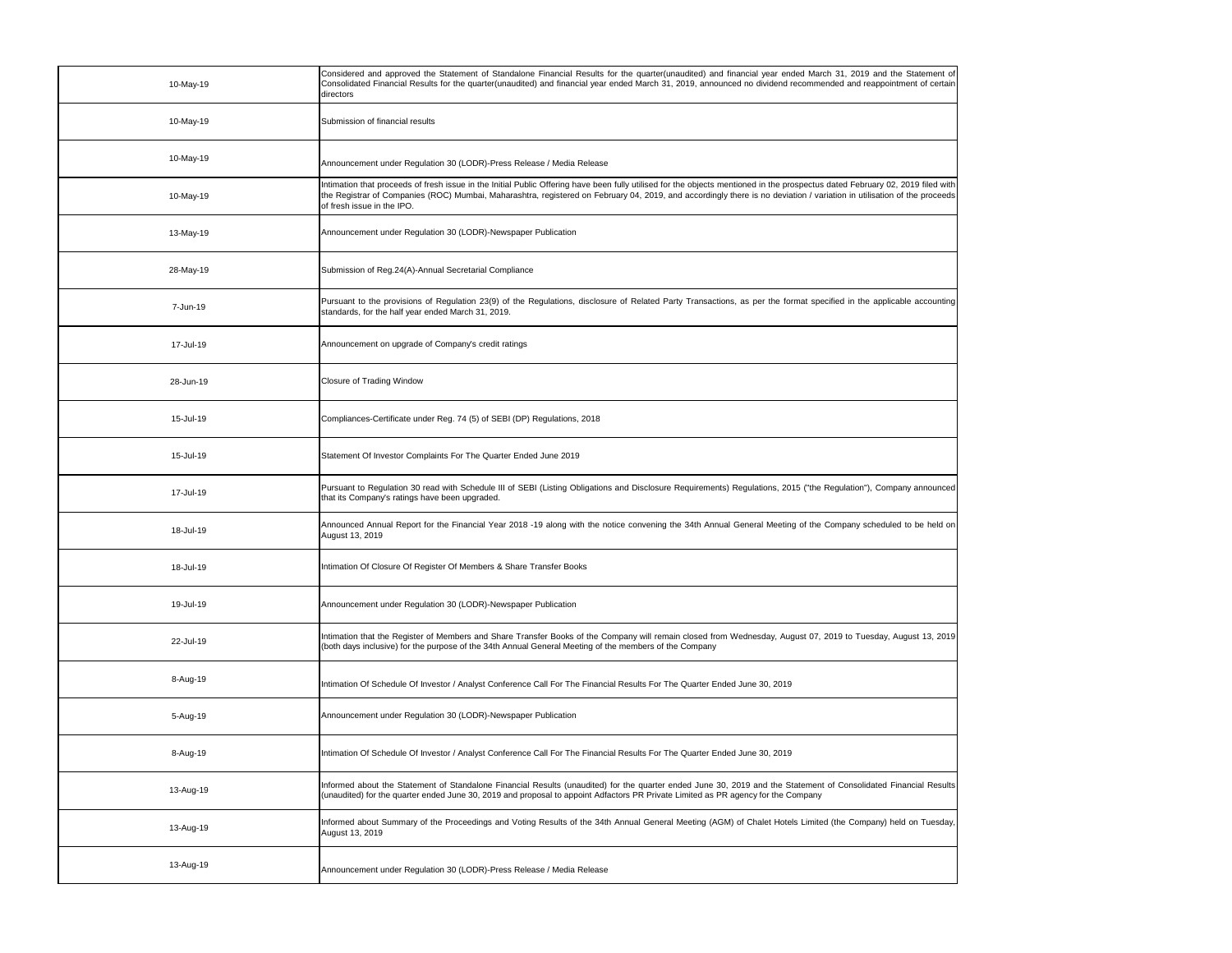| 10-May-19 | Considered and approved the Statement of Standalone Financial Results for the quarter(unaudited) and financial year ended March 31, 2019 and the Statement of<br>Consolidated Financial Results for the quarter(unaudited) and financial year ended March 31, 2019, announced no dividend recommended and reappointment of certain<br>directors                                         |
|-----------|-----------------------------------------------------------------------------------------------------------------------------------------------------------------------------------------------------------------------------------------------------------------------------------------------------------------------------------------------------------------------------------------|
| 10-May-19 | Submission of financial results                                                                                                                                                                                                                                                                                                                                                         |
| 10-May-19 | Announcement under Regulation 30 (LODR)-Press Release / Media Release                                                                                                                                                                                                                                                                                                                   |
| 10-May-19 | Intimation that proceeds of fresh issue in the Initial Public Offering have been fully utilised for the objects mentioned in the prospectus dated February 02, 2019 filed with<br>the Registrar of Companies (ROC) Mumbai, Maharashtra, registered on February 04, 2019, and accordingly there is no deviation / variation in utilisation of the proceeds<br>of fresh issue in the IPO. |
| 13-May-19 | Announcement under Regulation 30 (LODR)-Newspaper Publication                                                                                                                                                                                                                                                                                                                           |
| 28-May-19 | Submission of Reg.24(A)-Annual Secretarial Compliance                                                                                                                                                                                                                                                                                                                                   |
| 7-Jun-19  | Pursuant to the provisions of Regulation 23(9) of the Regulations, disclosure of Related Party Transactions, as per the format specified in the applicable accounting<br>standards, for the half year ended March 31, 2019.                                                                                                                                                             |
| 17-Jul-19 | Announcement on upgrade of Company's credit ratings                                                                                                                                                                                                                                                                                                                                     |
| 28-Jun-19 | Closure of Trading Window                                                                                                                                                                                                                                                                                                                                                               |
| 15-Jul-19 | Compliances-Certificate under Reg. 74 (5) of SEBI (DP) Regulations, 2018                                                                                                                                                                                                                                                                                                                |
| 15-Jul-19 | Statement Of Investor Complaints For The Quarter Ended June 2019                                                                                                                                                                                                                                                                                                                        |
| 17-Jul-19 | Pursuant to Regulation 30 read with Schedule III of SEBI (Listing Obligations and Disclosure Requirements) Regulations, 2015 ("the Regulation"), Company announced<br>that its Company's ratings have been upgraded.                                                                                                                                                                    |
| 18-Jul-19 | Announced Annual Report for the Financial Year 2018 -19 along with the notice convening the 34th Annual General Meeting of the Company scheduled to be held on<br>August 13, 2019                                                                                                                                                                                                       |
| 18-Jul-19 | Intimation Of Closure Of Register Of Members & Share Transfer Books                                                                                                                                                                                                                                                                                                                     |
| 19-Jul-19 | Announcement under Regulation 30 (LODR)-Newspaper Publication                                                                                                                                                                                                                                                                                                                           |
| 22-Jul-19 | Intimation that the Register of Members and Share Transfer Books of the Company will remain closed from Wednesday, August 07, 2019 to Tuesday, August 13, 2019<br>(both days inclusive) for the purpose of the 34th Annual General Meeting of the members of the Company                                                                                                                |
| 8-Aug-19  | Intimation Of Schedule Of Investor / Analyst Conference Call For The Financial Results For The Quarter Ended June 30, 2019                                                                                                                                                                                                                                                              |
| 5-Aug-19  | Announcement under Regulation 30 (LODR)-Newspaper Publication                                                                                                                                                                                                                                                                                                                           |
| 8-Aug-19  | Intimation Of Schedule Of Investor / Analyst Conference Call For The Financial Results For The Quarter Ended June 30, 2019                                                                                                                                                                                                                                                              |
| 13-Aug-19 | Informed about the Statement of Standalone Financial Results (unaudited) for the quarter ended June 30, 2019 and the Statement of Consolidated Financial Results<br>(unaudited) for the quarter ended June 30, 2019 and proposal to appoint Adfactors PR Private Limited as PR agency for the Company                                                                                   |
| 13-Aug-19 | Informed about Summary of the Proceedings and Voting Results of the 34th Annual General Meeting (AGM) of Chalet Hotels Limited (the Company) held on Tuesday,<br>August 13, 2019                                                                                                                                                                                                        |
| 13-Aug-19 | Announcement under Regulation 30 (LODR)-Press Release / Media Release                                                                                                                                                                                                                                                                                                                   |

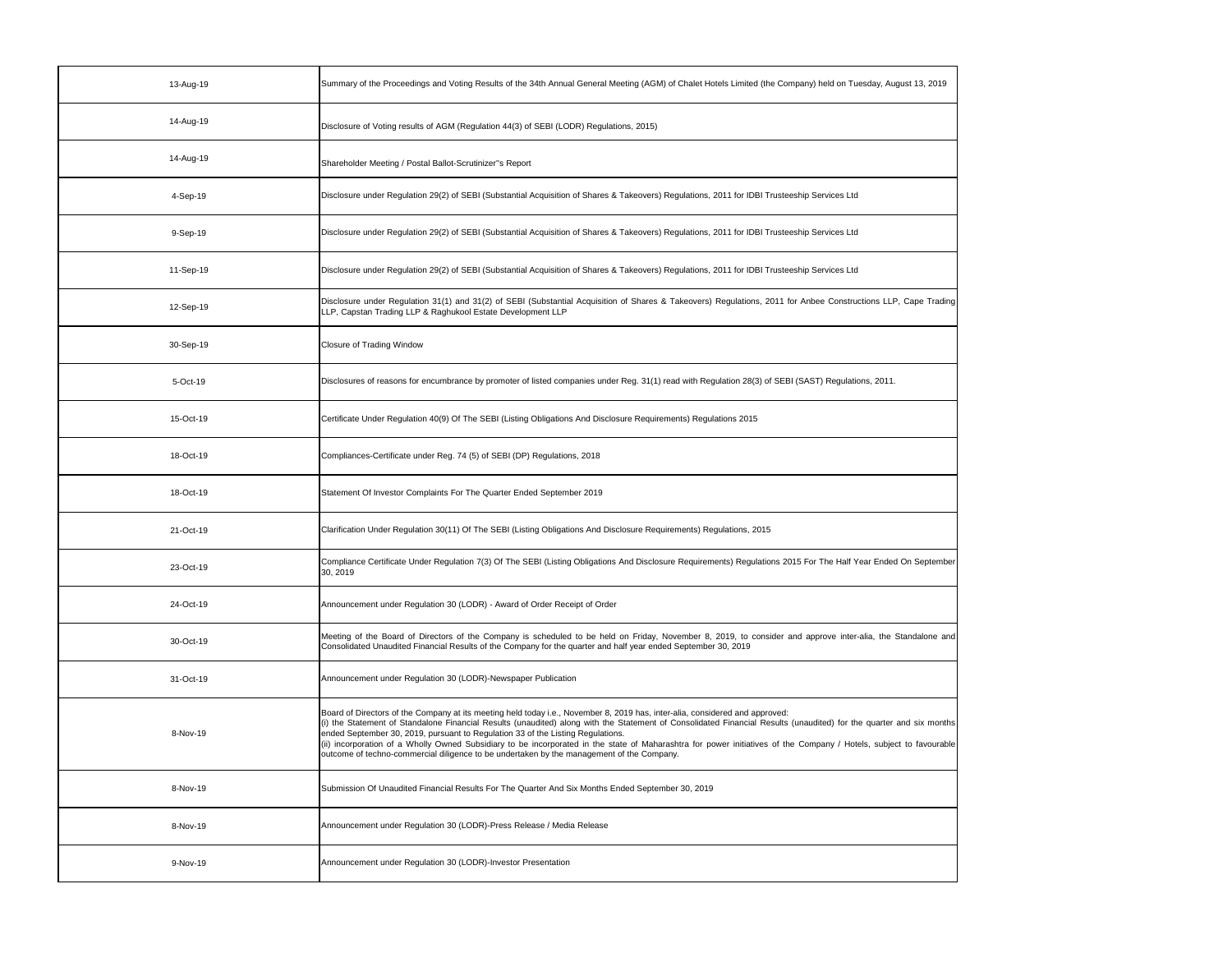| 13-Aug-19 | Summary of the Proceedings and Voting Results of the 34th Annual General Meeting (AGM) of Chalet Hotels Limited (the Company) held on Tuesday, August 13, 2019                                                                                                                                                                                                                                                                                                                                                                                                                                                                                             |
|-----------|------------------------------------------------------------------------------------------------------------------------------------------------------------------------------------------------------------------------------------------------------------------------------------------------------------------------------------------------------------------------------------------------------------------------------------------------------------------------------------------------------------------------------------------------------------------------------------------------------------------------------------------------------------|
| 14-Aug-19 | Disclosure of Voting results of AGM (Regulation 44(3) of SEBI (LODR) Regulations, 2015)                                                                                                                                                                                                                                                                                                                                                                                                                                                                                                                                                                    |
| 14-Aug-19 | Shareholder Meeting / Postal Ballot-Scrutinizer"s Report                                                                                                                                                                                                                                                                                                                                                                                                                                                                                                                                                                                                   |
| 4-Sep-19  | Disclosure under Regulation 29(2) of SEBI (Substantial Acquisition of Shares & Takeovers) Regulations, 2011 for IDBI Trusteeship Services Ltd                                                                                                                                                                                                                                                                                                                                                                                                                                                                                                              |
| 9-Sep-19  | Disclosure under Regulation 29(2) of SEBI (Substantial Acquisition of Shares & Takeovers) Regulations, 2011 for IDBI Trusteeship Services Ltd                                                                                                                                                                                                                                                                                                                                                                                                                                                                                                              |
| 11-Sep-19 | Disclosure under Regulation 29(2) of SEBI (Substantial Acquisition of Shares & Takeovers) Regulations, 2011 for IDBI Trusteeship Services Ltd                                                                                                                                                                                                                                                                                                                                                                                                                                                                                                              |
| 12-Sep-19 | Disclosure under Regulation 31(1) and 31(2) of SEBI (Substantial Acquisition of Shares & Takeovers) Regulations, 2011 for Anbee Constructions LLP, Cape Trading<br>LLP, Capstan Trading LLP & Raghukool Estate Development LLP                                                                                                                                                                                                                                                                                                                                                                                                                             |
| 30-Sep-19 | <b>Closure of Trading Window</b>                                                                                                                                                                                                                                                                                                                                                                                                                                                                                                                                                                                                                           |
| 5-Oct-19  | Disclosures of reasons for encumbrance by promoter of listed companies under Reg. 31(1) read with Regulation 28(3) of SEBI (SAST) Regulations, 2011.                                                                                                                                                                                                                                                                                                                                                                                                                                                                                                       |
| 15-Oct-19 | Certificate Under Regulation 40(9) Of The SEBI (Listing Obligations And Disclosure Requirements) Regulations 2015                                                                                                                                                                                                                                                                                                                                                                                                                                                                                                                                          |
| 18-Oct-19 | Compliances-Certificate under Reg. 74 (5) of SEBI (DP) Regulations, 2018                                                                                                                                                                                                                                                                                                                                                                                                                                                                                                                                                                                   |
| 18-Oct-19 | Statement Of Investor Complaints For The Quarter Ended September 2019                                                                                                                                                                                                                                                                                                                                                                                                                                                                                                                                                                                      |
| 21-Oct-19 | Clarification Under Regulation 30(11) Of The SEBI (Listing Obligations And Disclosure Requirements) Regulations, 2015                                                                                                                                                                                                                                                                                                                                                                                                                                                                                                                                      |
| 23-Oct-19 | Compliance Certificate Under Regulation 7(3) Of The SEBI (Listing Obligations And Disclosure Requirements) Regulations 2015 For The Half Year Ended On September<br>30, 2019                                                                                                                                                                                                                                                                                                                                                                                                                                                                               |
| 24-Oct-19 | Announcement under Regulation 30 (LODR) - Award of Order Receipt of Order                                                                                                                                                                                                                                                                                                                                                                                                                                                                                                                                                                                  |
| 30-Oct-19 | Meeting of the Board of Directors of the Company is scheduled to be held on Friday, November 8, 2019, to consider and approve inter-alia, the Standalone and<br>Consolidated Unaudited Financial Results of the Company for the quarter and half year ended September 30, 2019                                                                                                                                                                                                                                                                                                                                                                             |
| 31-Oct-19 | Announcement under Regulation 30 (LODR)-Newspaper Publication                                                                                                                                                                                                                                                                                                                                                                                                                                                                                                                                                                                              |
| 8-Nov-19  | Board of Directors of the Company at its meeting held today i.e., November 8, 2019 has, inter-alia, considered and approved:<br>(i) the Statement of Standalone Financial Results (unaudited) along with the Statement of Consolidated Financial Results (unaudited) for the quarter and six months<br>ended September 30, 2019, pursuant to Regulation 33 of the Listing Regulations.<br>(ii) incorporation of a Wholly Owned Subsidiary to be incorporated in the state of Maharashtra for power initiatives of the Company / Hotels, subject to favourable<br>outcome of techno-commercial diligence to be undertaken by the management of the Company. |
| 8-Nov-19  | Submission Of Unaudited Financial Results For The Quarter And Six Months Ended September 30, 2019                                                                                                                                                                                                                                                                                                                                                                                                                                                                                                                                                          |
| 8-Nov-19  | Announcement under Regulation 30 (LODR)-Press Release / Media Release                                                                                                                                                                                                                                                                                                                                                                                                                                                                                                                                                                                      |
| 9-Nov-19  | Announcement under Regulation 30 (LODR)-Investor Presentation                                                                                                                                                                                                                                                                                                                                                                                                                                                                                                                                                                                              |

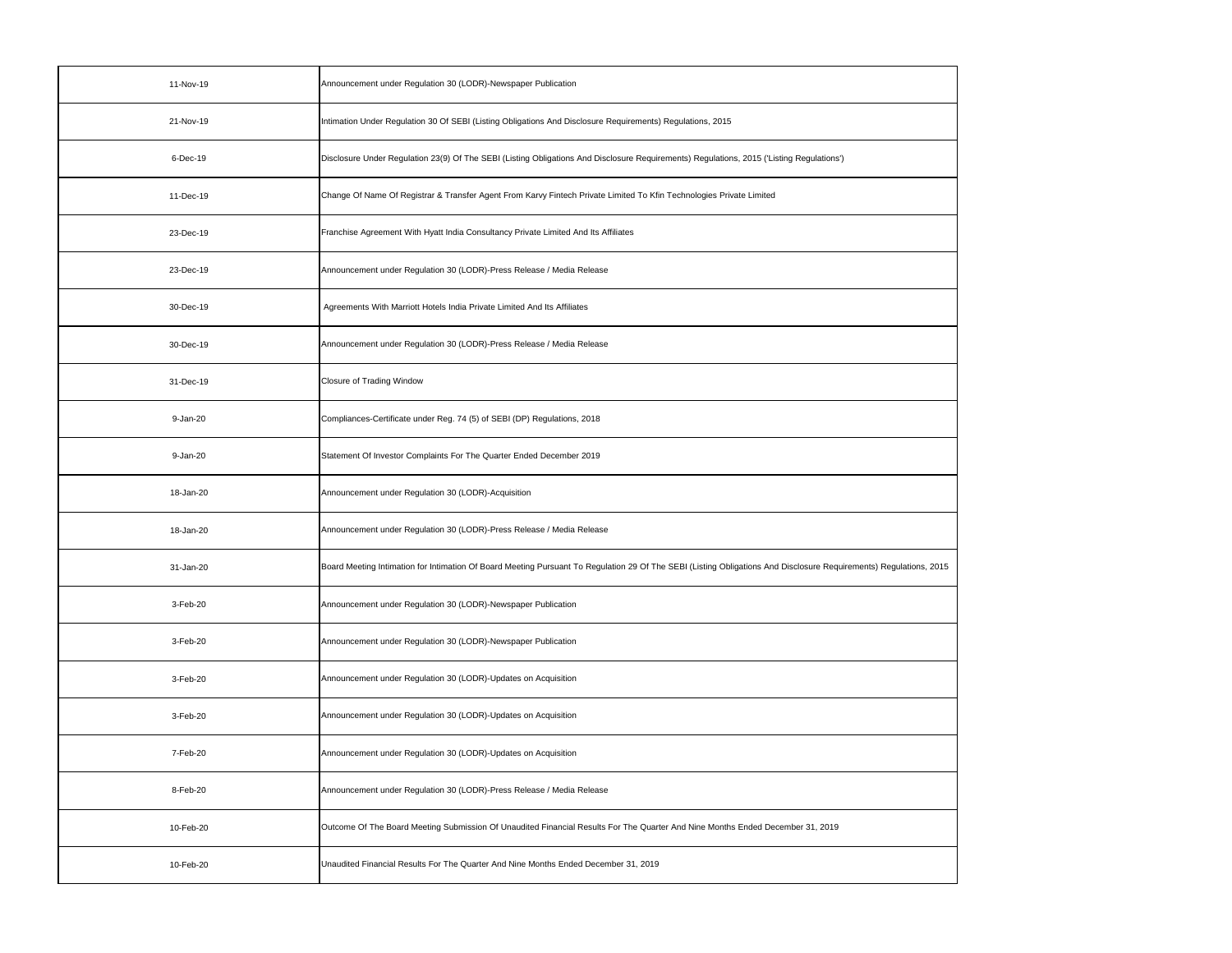| 11-Nov-19 | Announcement under Regulation 30 (LODR)-Newspaper Publication                                                                                                      |
|-----------|--------------------------------------------------------------------------------------------------------------------------------------------------------------------|
| 21-Nov-19 | Intimation Under Regulation 30 Of SEBI (Listing Obligations And Disclosure Requirements) Regulations, 2015                                                         |
| 6-Dec-19  | Disclosure Under Regulation 23(9) Of The SEBI (Listing Obligations And Disclosure Requirements) Regulations, 2015 ('Listing Regulations')                          |
| 11-Dec-19 | Change Of Name Of Registrar & Transfer Agent From Karvy Fintech Private Limited To Kfin Technologies Private Limited                                               |
| 23-Dec-19 | Franchise Agreement With Hyatt India Consultancy Private Limited And Its Affiliates                                                                                |
| 23-Dec-19 | Announcement under Regulation 30 (LODR)-Press Release / Media Release                                                                                              |
| 30-Dec-19 | Agreements With Marriott Hotels India Private Limited And Its Affiliates                                                                                           |
| 30-Dec-19 | Announcement under Regulation 30 (LODR)-Press Release / Media Release                                                                                              |
| 31-Dec-19 | <b>Closure of Trading Window</b>                                                                                                                                   |
| 9-Jan-20  | Compliances-Certificate under Reg. 74 (5) of SEBI (DP) Regulations, 2018                                                                                           |
| 9-Jan-20  | Statement Of Investor Complaints For The Quarter Ended December 2019                                                                                               |
| 18-Jan-20 | Announcement under Regulation 30 (LODR)-Acquisition                                                                                                                |
| 18-Jan-20 | Announcement under Regulation 30 (LODR)-Press Release / Media Release                                                                                              |
| 31-Jan-20 | Board Meeting Intimation for Intimation Of Board Meeting Pursuant To Regulation 29 Of The SEBI (Listing Obligations And Disclosure Requirements) Regulations, 2015 |
| 3-Feb-20  | Announcement under Regulation 30 (LODR)-Newspaper Publication                                                                                                      |
| 3-Feb-20  | Announcement under Regulation 30 (LODR)-Newspaper Publication                                                                                                      |
| 3-Feb-20  | Announcement under Regulation 30 (LODR)-Updates on Acquisition                                                                                                     |
| 3-Feb-20  | Announcement under Regulation 30 (LODR)-Updates on Acquisition                                                                                                     |
| 7-Feb-20  | Announcement under Regulation 30 (LODR)-Updates on Acquisition                                                                                                     |
| 8-Feb-20  | Announcement under Regulation 30 (LODR)-Press Release / Media Release                                                                                              |
| 10-Feb-20 | Outcome Of The Board Meeting Submission Of Unaudited Financial Results For The Quarter And Nine Months Ended December 31, 2019                                     |
| 10-Feb-20 | Unaudited Financial Results For The Quarter And Nine Months Ended December 31, 2019                                                                                |

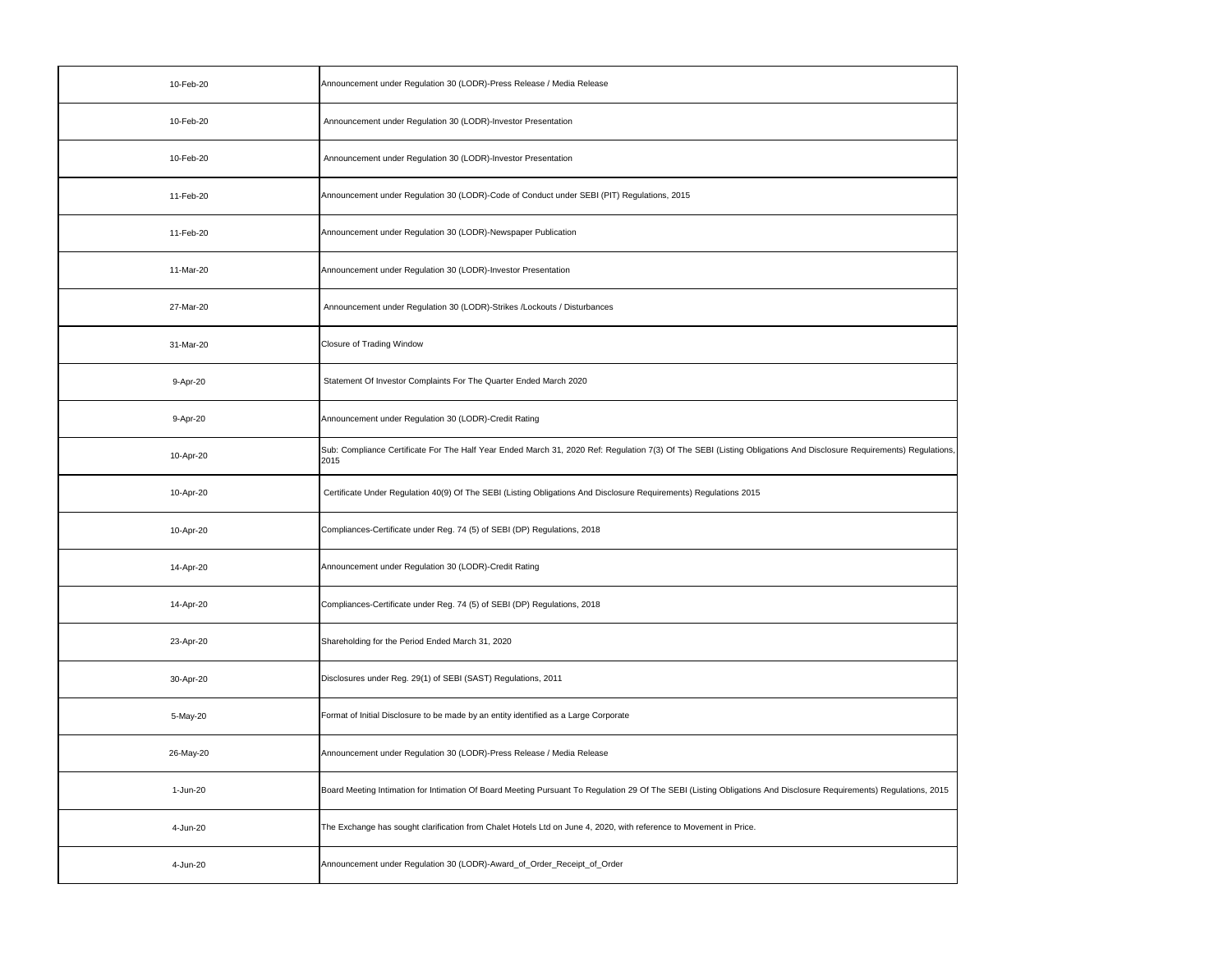| 10-Feb-20 | Announcement under Regulation 30 (LODR)-Press Release / Media Release                                                                                                      |
|-----------|----------------------------------------------------------------------------------------------------------------------------------------------------------------------------|
| 10-Feb-20 | Announcement under Regulation 30 (LODR)-Investor Presentation                                                                                                              |
| 10-Feb-20 | Announcement under Regulation 30 (LODR)-Investor Presentation                                                                                                              |
| 11-Feb-20 | Announcement under Regulation 30 (LODR)-Code of Conduct under SEBI (PIT) Regulations, 2015                                                                                 |
| 11-Feb-20 | Announcement under Regulation 30 (LODR)-Newspaper Publication                                                                                                              |
| 11-Mar-20 | Announcement under Regulation 30 (LODR)-Investor Presentation                                                                                                              |
| 27-Mar-20 | Announcement under Regulation 30 (LODR)-Strikes /Lockouts / Disturbances                                                                                                   |
| 31-Mar-20 | <b>Closure of Trading Window</b>                                                                                                                                           |
| 9-Apr-20  | Statement Of Investor Complaints For The Quarter Ended March 2020                                                                                                          |
| 9-Apr-20  | Announcement under Regulation 30 (LODR)-Credit Rating                                                                                                                      |
| 10-Apr-20 | Sub: Compliance Certificate For The Half Year Ended March 31, 2020 Ref: Regulation 7(3) Of The SEBI (Listing Obligations And Disclosure Requirements) Regulations,<br>2015 |
| 10-Apr-20 | Certificate Under Regulation 40(9) Of The SEBI (Listing Obligations And Disclosure Requirements) Regulations 2015                                                          |
| 10-Apr-20 | Compliances-Certificate under Reg. 74 (5) of SEBI (DP) Regulations, 2018                                                                                                   |
| 14-Apr-20 | Announcement under Regulation 30 (LODR)-Credit Rating                                                                                                                      |
| 14-Apr-20 | Compliances-Certificate under Reg. 74 (5) of SEBI (DP) Regulations, 2018                                                                                                   |
| 23-Apr-20 | Shareholding for the Period Ended March 31, 2020                                                                                                                           |
| 30-Apr-20 | Disclosures under Reg. 29(1) of SEBI (SAST) Regulations, 2011                                                                                                              |
| 5-May-20  | Format of Initial Disclosure to be made by an entity identified as a Large Corporate                                                                                       |
| 26-May-20 | Announcement under Regulation 30 (LODR)-Press Release / Media Release                                                                                                      |
| 1-Jun-20  | Board Meeting Intimation for Intimation Of Board Meeting Pursuant To Regulation 29 Of The SEBI (Listing Obligations And Disclosure Requirements) Regulations, 2015         |
| 4-Jun-20  | The Exchange has sought clarification from Chalet Hotels Ltd on June 4, 2020, with reference to Movement in Price.                                                         |
| 4-Jun-20  | Announcement under Regulation 30 (LODR)-Award_of_Order_Receipt_of_Order                                                                                                    |

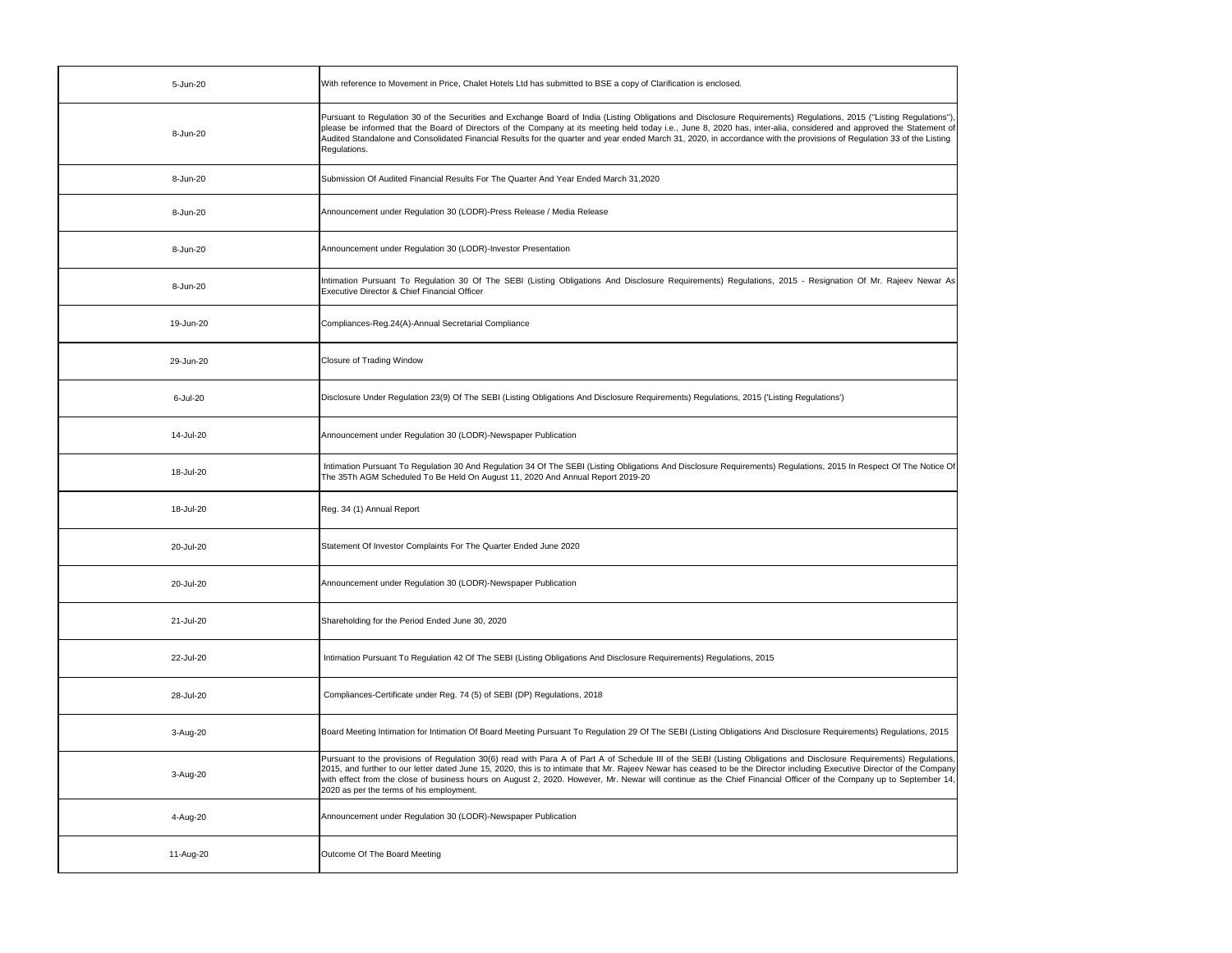| 5-Jun-20  | With reference to Movement in Price, Chalet Hotels Ltd has submitted to BSE a copy of Clarification is enclosed.                                                                                                                                                                                                                                                                                                                                                                                                                                                   |
|-----------|--------------------------------------------------------------------------------------------------------------------------------------------------------------------------------------------------------------------------------------------------------------------------------------------------------------------------------------------------------------------------------------------------------------------------------------------------------------------------------------------------------------------------------------------------------------------|
| 8-Jun-20  | Pursuant to Regulation 30 of the Securities and Exchange Board of India (Listing Obligations and Disclosure Requirements) Regulations, 2015 ("Listing Regulations"),<br>please be informed that the Board of Directors of the Company at its meeting held today i.e., June 8, 2020 has, inter-alia, considered and approved the Statement of<br>Audited Standalone and Consolidated Financial Results for the quarter and year ended March 31, 2020, in accordance with the provisions of Regulation 33 of the Listing<br>Regulations.                             |
| 8-Jun-20  | Submission Of Audited Financial Results For The Quarter And Year Ended March 31.2020                                                                                                                                                                                                                                                                                                                                                                                                                                                                               |
| 8-Jun-20  | Announcement under Regulation 30 (LODR)-Press Release / Media Release                                                                                                                                                                                                                                                                                                                                                                                                                                                                                              |
| 8-Jun-20  | Announcement under Regulation 30 (LODR)-Investor Presentation                                                                                                                                                                                                                                                                                                                                                                                                                                                                                                      |
| 8-Jun-20  | Intimation Pursuant To Regulation 30 Of The SEBI (Listing Obligations And Disclosure Requirements) Regulations, 2015 - Resignation Of Mr. Rajeev Newar As<br>Executive Director & Chief Financial Officer                                                                                                                                                                                                                                                                                                                                                          |
| 19-Jun-20 | Compliances-Reg.24(A)-Annual Secretarial Compliance                                                                                                                                                                                                                                                                                                                                                                                                                                                                                                                |
| 29-Jun-20 | <b>Closure of Trading Window</b>                                                                                                                                                                                                                                                                                                                                                                                                                                                                                                                                   |
| 6-Jul-20  | Disclosure Under Regulation 23(9) Of The SEBI (Listing Obligations And Disclosure Requirements) Regulations, 2015 ('Listing Regulations')                                                                                                                                                                                                                                                                                                                                                                                                                          |
| 14-Jul-20 | Announcement under Regulation 30 (LODR)-Newspaper Publication                                                                                                                                                                                                                                                                                                                                                                                                                                                                                                      |
| 18-Jul-20 | Intimation Pursuant To Regulation 30 And Regulation 34 Of The SEBI (Listing Obligations And Disclosure Requirements) Regulations, 2015 In Respect Of The Notice Of<br>The 35Th AGM Scheduled To Be Held On August 11, 2020 And Annual Report 2019-20                                                                                                                                                                                                                                                                                                               |
| 18-Jul-20 | Reg. 34 (1) Annual Report                                                                                                                                                                                                                                                                                                                                                                                                                                                                                                                                          |
| 20-Jul-20 | Statement Of Investor Complaints For The Quarter Ended June 2020                                                                                                                                                                                                                                                                                                                                                                                                                                                                                                   |
| 20-Jul-20 | Announcement under Regulation 30 (LODR)-Newspaper Publication                                                                                                                                                                                                                                                                                                                                                                                                                                                                                                      |
| 21-Jul-20 | Shareholding for the Period Ended June 30, 2020                                                                                                                                                                                                                                                                                                                                                                                                                                                                                                                    |
| 22-Jul-20 | Intimation Pursuant To Regulation 42 Of The SEBI (Listing Obligations And Disclosure Requirements) Regulations, 2015                                                                                                                                                                                                                                                                                                                                                                                                                                               |
| 28-Jul-20 | Compliances-Certificate under Reg. 74 (5) of SEBI (DP) Regulations, 2018                                                                                                                                                                                                                                                                                                                                                                                                                                                                                           |
| 3-Aug-20  | Board Meeting Intimation for Intimation Of Board Meeting Pursuant To Regulation 29 Of The SEBI (Listing Obligations And Disclosure Requirements) Regulations, 2015                                                                                                                                                                                                                                                                                                                                                                                                 |
| 3-Aug-20  | Pursuant to the provisions of Regulation 30(6) read with Para A of Part A of Schedule III of the SEBI (Listing Obligations and Disclosure Requirements) Regulations,<br>2015, and further to our letter dated June 15, 2020, this is to intimate that Mr. Rajeev Newar has ceased to be the Director including Executive Director of the Company<br>with effect from the close of business hours on August 2, 2020. However, Mr. Newar will continue as the Chief Financial Officer of the Company up to September 14,<br>2020 as per the terms of his employment. |
| 4-Aug-20  | Announcement under Regulation 30 (LODR)-Newspaper Publication                                                                                                                                                                                                                                                                                                                                                                                                                                                                                                      |
| 11-Aug-20 | Outcome Of The Board Meeting                                                                                                                                                                                                                                                                                                                                                                                                                                                                                                                                       |

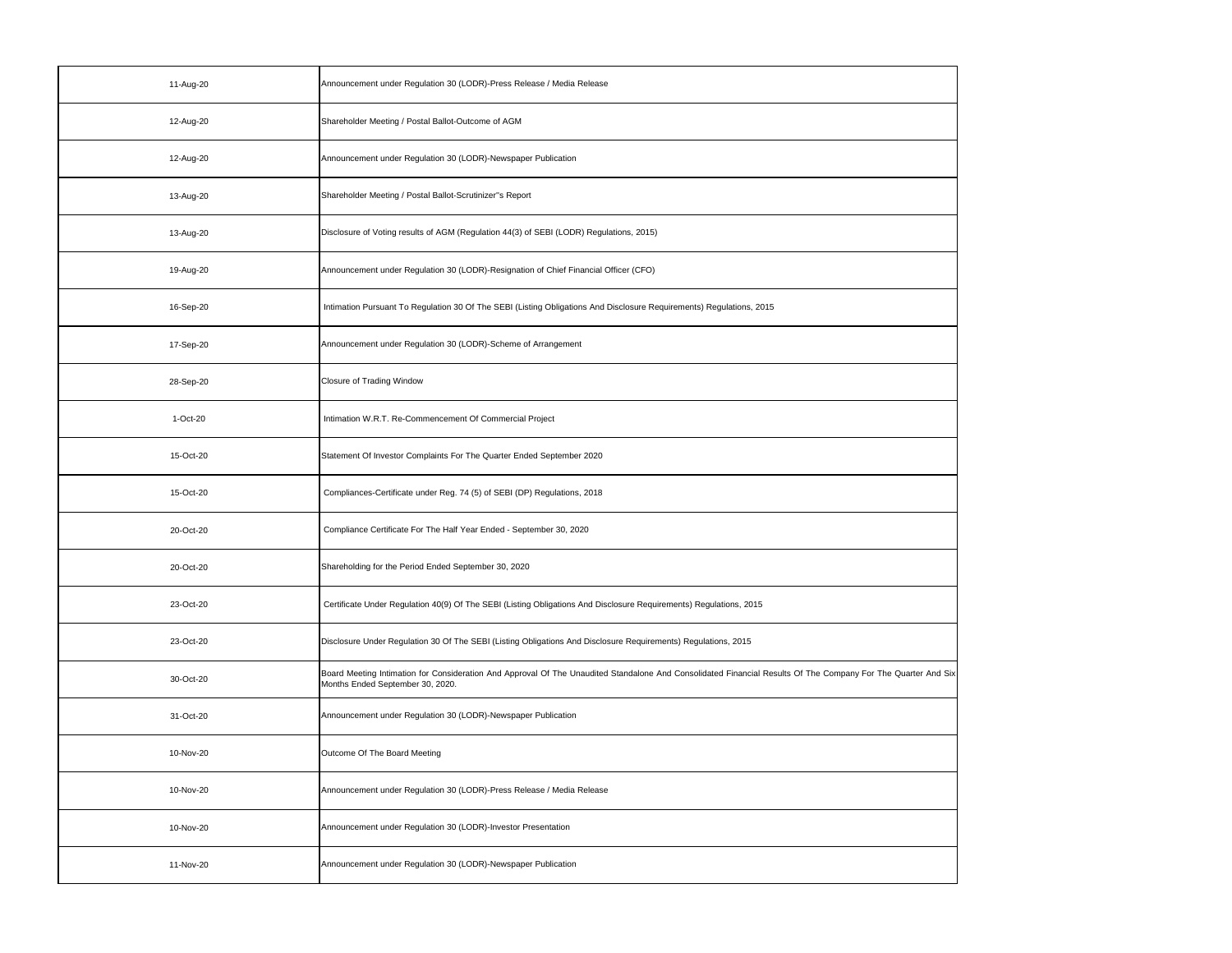| 11-Aug-20 | Announcement under Regulation 30 (LODR)-Press Release / Media Release                                                                                                                             |
|-----------|---------------------------------------------------------------------------------------------------------------------------------------------------------------------------------------------------|
| 12-Aug-20 | Shareholder Meeting / Postal Ballot-Outcome of AGM                                                                                                                                                |
| 12-Aug-20 | Announcement under Regulation 30 (LODR)-Newspaper Publication                                                                                                                                     |
| 13-Aug-20 | Shareholder Meeting / Postal Ballot-Scrutinizer"s Report                                                                                                                                          |
| 13-Aug-20 | Disclosure of Voting results of AGM (Regulation 44(3) of SEBI (LODR) Regulations, 2015)                                                                                                           |
| 19-Aug-20 | Announcement under Regulation 30 (LODR)-Resignation of Chief Financial Officer (CFO)                                                                                                              |
| 16-Sep-20 | Intimation Pursuant To Regulation 30 Of The SEBI (Listing Obligations And Disclosure Requirements) Regulations, 2015                                                                              |
| 17-Sep-20 | Announcement under Regulation 30 (LODR)-Scheme of Arrangement                                                                                                                                     |
| 28-Sep-20 | Closure of Trading Window                                                                                                                                                                         |
| 1-Oct-20  | Intimation W.R.T. Re-Commencement Of Commercial Project                                                                                                                                           |
| 15-Oct-20 | Statement Of Investor Complaints For The Quarter Ended September 2020                                                                                                                             |
| 15-Oct-20 | Compliances-Certificate under Reg. 74 (5) of SEBI (DP) Regulations, 2018                                                                                                                          |
| 20-Oct-20 | Compliance Certificate For The Half Year Ended - September 30, 2020                                                                                                                               |
| 20-Oct-20 | Shareholding for the Period Ended September 30, 2020                                                                                                                                              |
| 23-Oct-20 | Certificate Under Regulation 40(9) Of The SEBI (Listing Obligations And Disclosure Requirements) Regulations, 2015                                                                                |
| 23-Oct-20 | Disclosure Under Regulation 30 Of The SEBI (Listing Obligations And Disclosure Requirements) Regulations, 2015                                                                                    |
| 30-Oct-20 | Board Meeting Intimation for Consideration And Approval Of The Unaudited Standalone And Consolidated Financial Results Of The Company For The Quarter And Six<br>Months Ended September 30, 2020. |
| 31-Oct-20 | Announcement under Regulation 30 (LODR)-Newspaper Publication                                                                                                                                     |
| 10-Nov-20 | Outcome Of The Board Meeting                                                                                                                                                                      |
| 10-Nov-20 | Announcement under Regulation 30 (LODR)-Press Release / Media Release                                                                                                                             |
| 10-Nov-20 | Announcement under Regulation 30 (LODR)-Investor Presentation                                                                                                                                     |
| 11-Nov-20 | Announcement under Regulation 30 (LODR)-Newspaper Publication                                                                                                                                     |

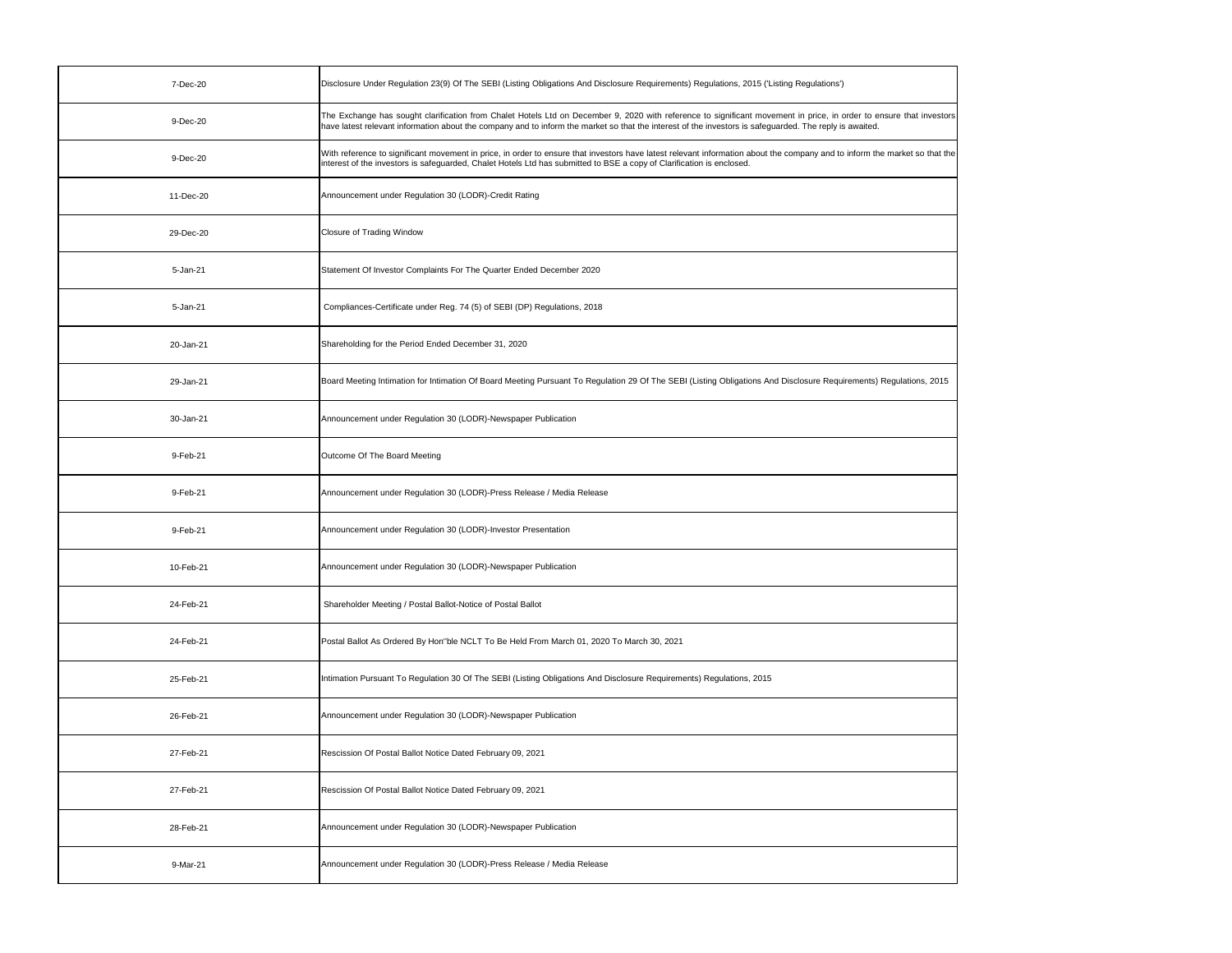| 7-Dec-20  | Disclosure Under Regulation 23(9) Of The SEBI (Listing Obligations And Disclosure Requirements) Regulations, 2015 ('Listing Regulations')                                                                                                                                                                                      |
|-----------|--------------------------------------------------------------------------------------------------------------------------------------------------------------------------------------------------------------------------------------------------------------------------------------------------------------------------------|
| 9-Dec-20  | The Exchange has sought clarification from Chalet Hotels Ltd on December 9, 2020 with reference to significant movement in price, in order to ensure that investors<br>have latest relevant information about the company and to inform the market so that the interest of the investors is safeguarded. The reply is awaited. |
| 9-Dec-20  | With reference to significant movement in price, in order to ensure that investors have latest relevant information about the company and to inform the market so that the<br>interest of the investors is safeguarded, Chalet Hotels Ltd has submitted to BSE a copy of Clarification is enclosed.                            |
| 11-Dec-20 | Announcement under Regulation 30 (LODR)-Credit Rating                                                                                                                                                                                                                                                                          |
| 29-Dec-20 | <b>Closure of Trading Window</b>                                                                                                                                                                                                                                                                                               |
| 5-Jan-21  | Statement Of Investor Complaints For The Quarter Ended December 2020                                                                                                                                                                                                                                                           |
| 5-Jan-21  | Compliances-Certificate under Reg. 74 (5) of SEBI (DP) Regulations, 2018                                                                                                                                                                                                                                                       |
| 20-Jan-21 | Shareholding for the Period Ended December 31, 2020                                                                                                                                                                                                                                                                            |
| 29-Jan-21 | Board Meeting Intimation for Intimation Of Board Meeting Pursuant To Regulation 29 Of The SEBI (Listing Obligations And Disclosure Requirements) Regulations, 2015                                                                                                                                                             |
| 30-Jan-21 | Announcement under Regulation 30 (LODR)-Newspaper Publication                                                                                                                                                                                                                                                                  |
| 9-Feb-21  | Outcome Of The Board Meeting                                                                                                                                                                                                                                                                                                   |
| 9-Feb-21  | Announcement under Regulation 30 (LODR)-Press Release / Media Release                                                                                                                                                                                                                                                          |
| 9-Feb-21  | Announcement under Regulation 30 (LODR)-Investor Presentation                                                                                                                                                                                                                                                                  |
| 10-Feb-21 | Announcement under Regulation 30 (LODR)-Newspaper Publication                                                                                                                                                                                                                                                                  |
| 24-Feb-21 | Shareholder Meeting / Postal Ballot-Notice of Postal Ballot                                                                                                                                                                                                                                                                    |
| 24-Feb-21 | Postal Ballot As Ordered By Hon"ble NCLT To Be Held From March 01, 2020 To March 30, 2021                                                                                                                                                                                                                                      |
| 25-Feb-21 | Intimation Pursuant To Regulation 30 Of The SEBI (Listing Obligations And Disclosure Requirements) Regulations, 2015                                                                                                                                                                                                           |
| 26-Feb-21 | Announcement under Regulation 30 (LODR)-Newspaper Publication                                                                                                                                                                                                                                                                  |
| 27-Feb-21 | Rescission Of Postal Ballot Notice Dated February 09, 2021                                                                                                                                                                                                                                                                     |
| 27-Feb-21 | Rescission Of Postal Ballot Notice Dated February 09, 2021                                                                                                                                                                                                                                                                     |
| 28-Feb-21 | Announcement under Regulation 30 (LODR)-Newspaper Publication                                                                                                                                                                                                                                                                  |
| 9-Mar-21  | Announcement under Regulation 30 (LODR)-Press Release / Media Release                                                                                                                                                                                                                                                          |

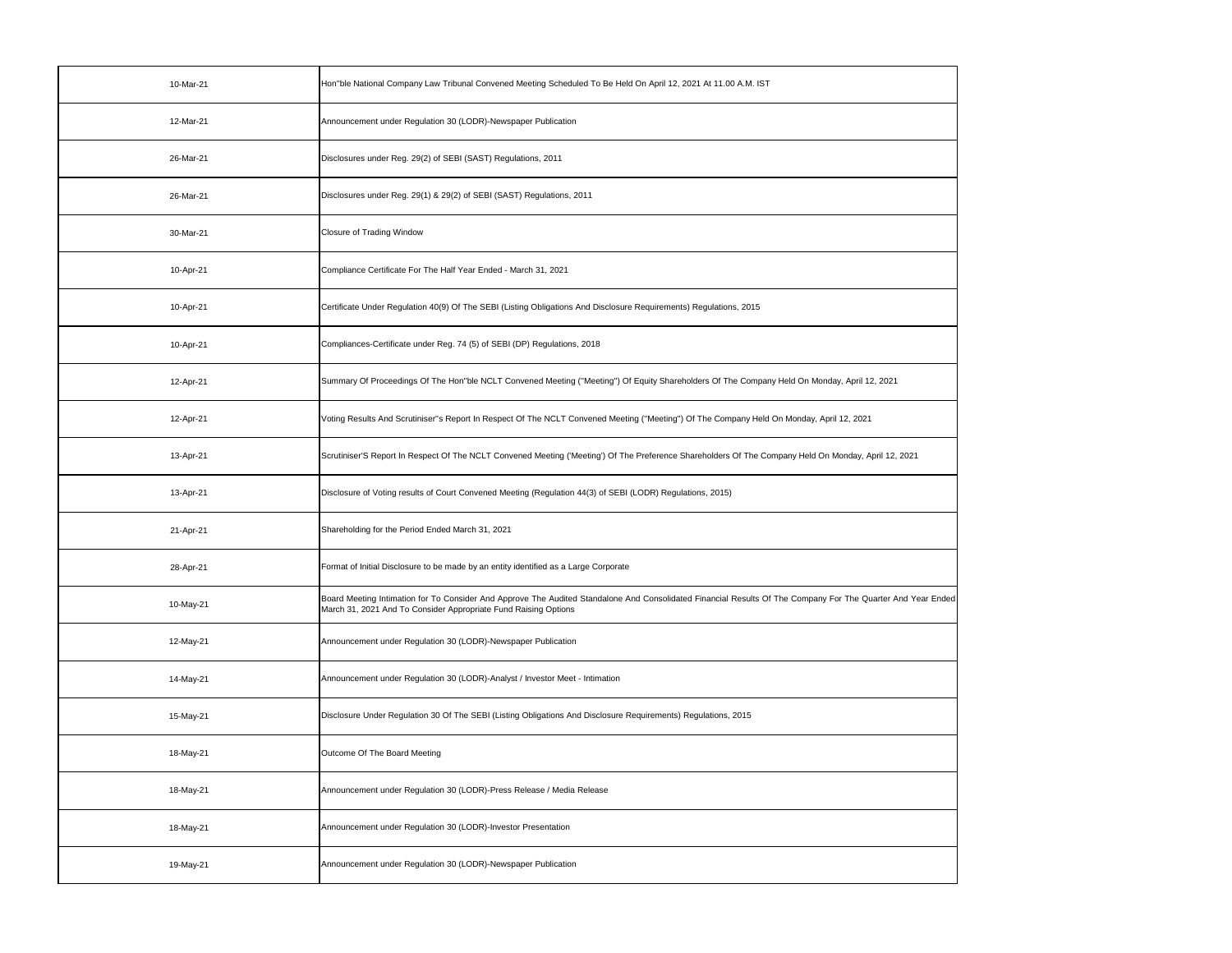| 10-Mar-21 | Hon"ble National Company Law Tribunal Convened Meeting Scheduled To Be Held On April 12, 2021 At 11.00 A.M. IST                                                                                                                 |
|-----------|---------------------------------------------------------------------------------------------------------------------------------------------------------------------------------------------------------------------------------|
| 12-Mar-21 | Announcement under Regulation 30 (LODR)-Newspaper Publication                                                                                                                                                                   |
| 26-Mar-21 | Disclosures under Reg. 29(2) of SEBI (SAST) Regulations, 2011                                                                                                                                                                   |
| 26-Mar-21 | Disclosures under Reg. 29(1) & 29(2) of SEBI (SAST) Regulations, 2011                                                                                                                                                           |
| 30-Mar-21 | Closure of Trading Window                                                                                                                                                                                                       |
| 10-Apr-21 | Compliance Certificate For The Half Year Ended - March 31, 2021                                                                                                                                                                 |
| 10-Apr-21 | Certificate Under Regulation 40(9) Of The SEBI (Listing Obligations And Disclosure Requirements) Regulations, 2015                                                                                                              |
| 10-Apr-21 | Compliances-Certificate under Reg. 74 (5) of SEBI (DP) Regulations, 2018                                                                                                                                                        |
| 12-Apr-21 | Summary Of Proceedings Of The Hon"ble NCLT Convened Meeting ("Meeting") Of Equity Shareholders Of The Company Held On Monday, April 12, 2021                                                                                    |
| 12-Apr-21 | Voting Results And Scrutiniser"s Report In Respect Of The NCLT Convened Meeting ("Meeting") Of The Company Held On Monday, April 12, 2021                                                                                       |
| 13-Apr-21 | Scrutiniser'S Report In Respect Of The NCLT Convened Meeting ('Meeting') Of The Preference Shareholders Of The Company Held On Monday, April 12, 2021                                                                           |
| 13-Apr-21 | Disclosure of Voting results of Court Convened Meeting (Regulation 44(3) of SEBI (LODR) Regulations, 2015)                                                                                                                      |
| 21-Apr-21 | Shareholding for the Period Ended March 31, 2021                                                                                                                                                                                |
|           |                                                                                                                                                                                                                                 |
| 28-Apr-21 | Format of Initial Disclosure to be made by an entity identified as a Large Corporate                                                                                                                                            |
| 10-May-21 | Board Meeting Intimation for To Consider And Approve The Audited Standalone And Consolidated Financial Results Of The Company For The Quarter And Year Ended<br>March 31, 2021 And To Consider Appropriate Fund Raising Options |
| 12-May-21 | Announcement under Regulation 30 (LODR)-Newspaper Publication                                                                                                                                                                   |
| 14-May-21 | Announcement under Regulation 30 (LODR)-Analyst / Investor Meet - Intimation                                                                                                                                                    |
| 15-May-21 | Disclosure Under Regulation 30 Of The SEBI (Listing Obligations And Disclosure Requirements) Regulations, 2015                                                                                                                  |
| 18-May-21 | Outcome Of The Board Meeting                                                                                                                                                                                                    |
| 18-May-21 | Announcement under Regulation 30 (LODR)-Press Release / Media Release                                                                                                                                                           |
| 18-May-21 | Announcement under Regulation 30 (LODR)-Investor Presentation                                                                                                                                                                   |

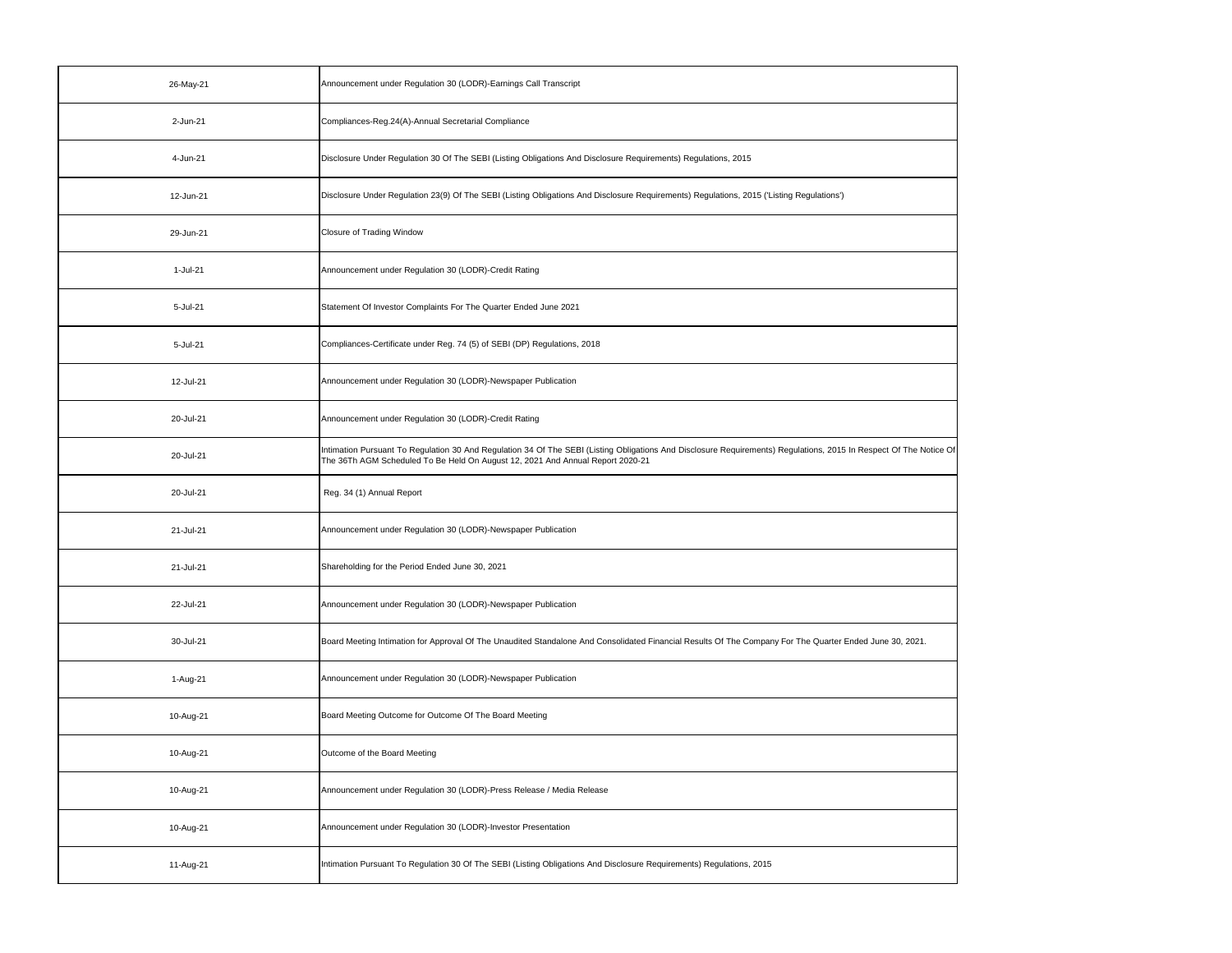| 26-May-21 | Announcement under Regulation 30 (LODR)-Earnings Call Transcript                                                                                                                                                                                     |
|-----------|------------------------------------------------------------------------------------------------------------------------------------------------------------------------------------------------------------------------------------------------------|
| 2-Jun-21  | Compliances-Reg.24(A)-Annual Secretarial Compliance                                                                                                                                                                                                  |
| 4-Jun-21  | Disclosure Under Regulation 30 Of The SEBI (Listing Obligations And Disclosure Requirements) Regulations, 2015                                                                                                                                       |
| 12-Jun-21 | Disclosure Under Regulation 23(9) Of The SEBI (Listing Obligations And Disclosure Requirements) Regulations, 2015 ('Listing Regulations')                                                                                                            |
| 29-Jun-21 | <b>Closure of Trading Window</b>                                                                                                                                                                                                                     |
| 1-Jul-21  | Announcement under Regulation 30 (LODR)-Credit Rating                                                                                                                                                                                                |
| 5-Jul-21  | Statement Of Investor Complaints For The Quarter Ended June 2021                                                                                                                                                                                     |
| 5-Jul-21  | Compliances-Certificate under Reg. 74 (5) of SEBI (DP) Regulations, 2018                                                                                                                                                                             |
| 12-Jul-21 | Announcement under Regulation 30 (LODR)-Newspaper Publication                                                                                                                                                                                        |
| 20-Jul-21 | Announcement under Regulation 30 (LODR)-Credit Rating                                                                                                                                                                                                |
| 20-Jul-21 | Intimation Pursuant To Regulation 30 And Regulation 34 Of The SEBI (Listing Obligations And Disclosure Requirements) Regulations, 2015 In Respect Of The Notice Of<br>The 36Th AGM Scheduled To Be Held On August 12, 2021 And Annual Report 2020-21 |
| 20-Jul-21 | Reg. 34 (1) Annual Report                                                                                                                                                                                                                            |
| 21-Jul-21 | Announcement under Regulation 30 (LODR)-Newspaper Publication                                                                                                                                                                                        |
| 21-Jul-21 | Shareholding for the Period Ended June 30, 2021                                                                                                                                                                                                      |
| 22-Jul-21 | Announcement under Regulation 30 (LODR)-Newspaper Publication                                                                                                                                                                                        |
| 30-Jul-21 | Board Meeting Intimation for Approval Of The Unaudited Standalone And Consolidated Financial Results Of The Company For The Quarter Ended June 30, 2021.                                                                                             |
| 1-Aug-21  | Announcement under Regulation 30 (LODR)-Newspaper Publication                                                                                                                                                                                        |
| 10-Aug-21 | Board Meeting Outcome for Outcome Of The Board Meeting                                                                                                                                                                                               |
| 10-Aug-21 | Outcome of the Board Meeting                                                                                                                                                                                                                         |
| 10-Aug-21 | Announcement under Regulation 30 (LODR)-Press Release / Media Release                                                                                                                                                                                |
| 10-Aug-21 | Announcement under Regulation 30 (LODR)-Investor Presentation                                                                                                                                                                                        |
| 11-Aug-21 | Intimation Pursuant To Regulation 30 Of The SEBI (Listing Obligations And Disclosure Requirements) Regulations, 2015                                                                                                                                 |

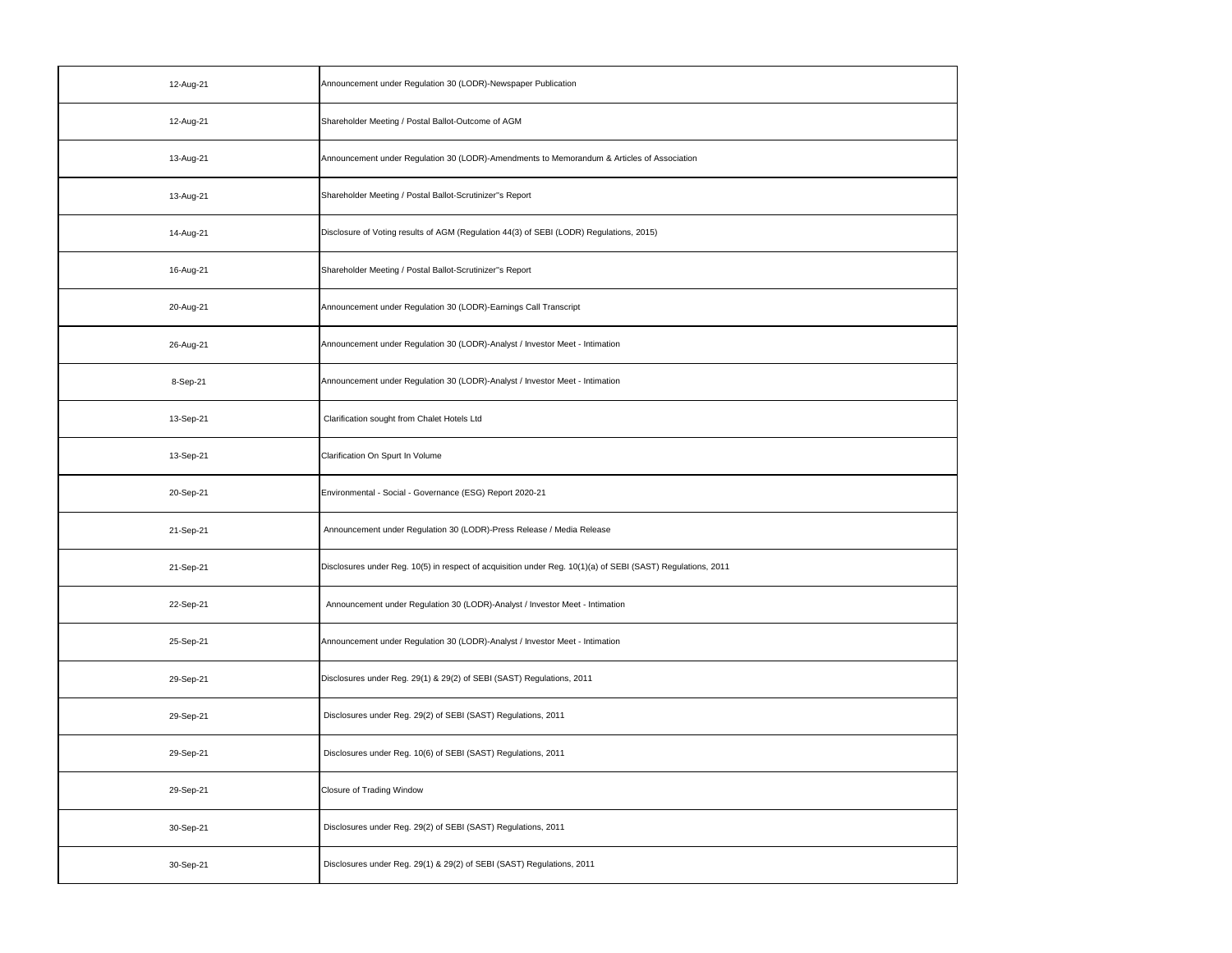| 12-Aug-21 | Announcement under Regulation 30 (LODR)-Newspaper Publication                                               |
|-----------|-------------------------------------------------------------------------------------------------------------|
| 12-Aug-21 | Shareholder Meeting / Postal Ballot-Outcome of AGM                                                          |
| 13-Aug-21 | Announcement under Regulation 30 (LODR)-Amendments to Memorandum & Articles of Association                  |
| 13-Aug-21 | Shareholder Meeting / Postal Ballot-Scrutinizer"s Report                                                    |
| 14-Aug-21 | Disclosure of Voting results of AGM (Regulation 44(3) of SEBI (LODR) Regulations, 2015)                     |
| 16-Aug-21 | Shareholder Meeting / Postal Ballot-Scrutinizer"s Report                                                    |
| 20-Aug-21 | Announcement under Regulation 30 (LODR)-Earnings Call Transcript                                            |
| 26-Aug-21 | Announcement under Regulation 30 (LODR)-Analyst / Investor Meet - Intimation                                |
| 8-Sep-21  | Announcement under Regulation 30 (LODR)-Analyst / Investor Meet - Intimation                                |
| 13-Sep-21 | Clarification sought from Chalet Hotels Ltd                                                                 |
| 13-Sep-21 | Clarification On Spurt In Volume                                                                            |
| 20-Sep-21 | Environmental - Social - Governance (ESG) Report 2020-21                                                    |
| 21-Sep-21 | Announcement under Regulation 30 (LODR)-Press Release / Media Release                                       |
| 21-Sep-21 | Disclosures under Reg. 10(5) in respect of acquisition under Reg. 10(1)(a) of SEBI (SAST) Regulations, 2011 |
| 22-Sep-21 | Announcement under Regulation 30 (LODR)-Analyst / Investor Meet - Intimation                                |
| 25-Sep-21 | Announcement under Regulation 30 (LODR)-Analyst / Investor Meet - Intimation                                |
| 29-Sep-21 | Disclosures under Reg. 29(1) & 29(2) of SEBI (SAST) Regulations, 2011                                       |
| 29-Sep-21 | Disclosures under Reg. 29(2) of SEBI (SAST) Regulations, 2011                                               |
| 29-Sep-21 | Disclosures under Reg. 10(6) of SEBI (SAST) Regulations, 2011                                               |
| 29-Sep-21 | Closure of Trading Window                                                                                   |
| 30-Sep-21 | Disclosures under Reg. 29(2) of SEBI (SAST) Regulations, 2011                                               |
| 30-Sep-21 | Disclosures under Reg. 29(1) & 29(2) of SEBI (SAST) Regulations, 2011                                       |
|           |                                                                                                             |

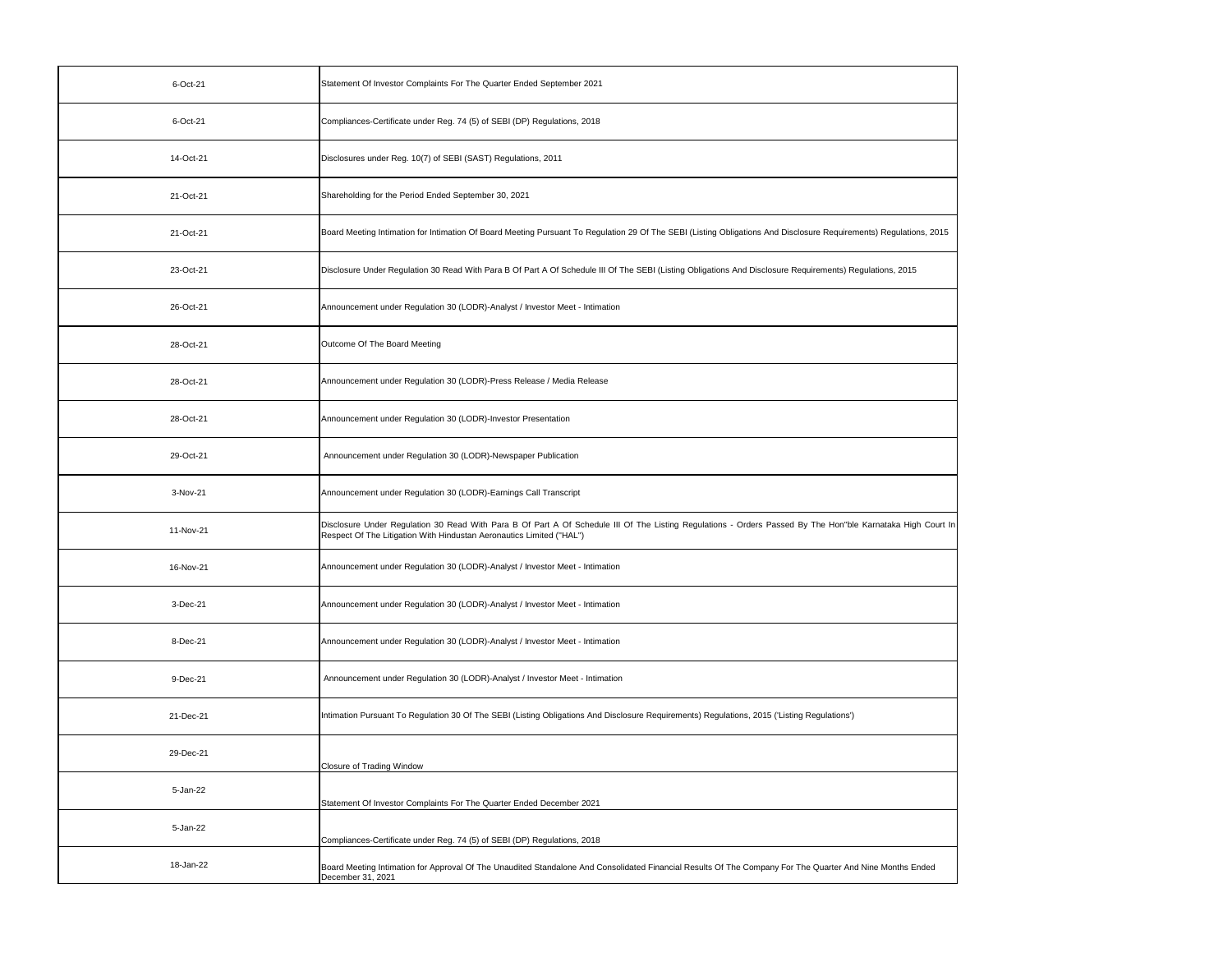| 6-Oct-21  | Statement Of Investor Complaints For The Quarter Ended September 2021                                                                                                                                                               |
|-----------|-------------------------------------------------------------------------------------------------------------------------------------------------------------------------------------------------------------------------------------|
| 6-Oct-21  | Compliances-Certificate under Reg. 74 (5) of SEBI (DP) Regulations, 2018                                                                                                                                                            |
| 14-Oct-21 | Disclosures under Reg. 10(7) of SEBI (SAST) Regulations, 2011                                                                                                                                                                       |
| 21-Oct-21 | Shareholding for the Period Ended September 30, 2021                                                                                                                                                                                |
| 21-Oct-21 | Board Meeting Intimation for Intimation Of Board Meeting Pursuant To Regulation 29 Of The SEBI (Listing Obligations And Disclosure Requirements) Regulations, 2015                                                                  |
| 23-Oct-21 | Disclosure Under Regulation 30 Read With Para B Of Part A Of Schedule III Of The SEBI (Listing Obligations And Disclosure Requirements) Regulations, 2015                                                                           |
| 26-Oct-21 | Announcement under Regulation 30 (LODR)-Analyst / Investor Meet - Intimation                                                                                                                                                        |
| 28-Oct-21 | Outcome Of The Board Meeting                                                                                                                                                                                                        |
| 28-Oct-21 | Announcement under Regulation 30 (LODR)-Press Release / Media Release                                                                                                                                                               |
| 28-Oct-21 | Announcement under Regulation 30 (LODR)-Investor Presentation                                                                                                                                                                       |
| 29-Oct-21 | Announcement under Regulation 30 (LODR)-Newspaper Publication                                                                                                                                                                       |
|           |                                                                                                                                                                                                                                     |
| 3-Nov-21  | Announcement under Regulation 30 (LODR)-Earnings Call Transcript                                                                                                                                                                    |
| 11-Nov-21 | Disclosure Under Regulation 30 Read With Para B Of Part A Of Schedule III Of The Listing Regulations - Orders Passed By The Hon"ble Karnataka High Court In<br>Respect Of The Litigation With Hindustan Aeronautics Limited ("HAL") |
| 16-Nov-21 | Announcement under Regulation 30 (LODR)-Analyst / Investor Meet - Intimation                                                                                                                                                        |
| 3-Dec-21  | Announcement under Regulation 30 (LODR)-Analyst / Investor Meet - Intimation                                                                                                                                                        |
| 8-Dec-21  | Announcement under Regulation 30 (LODR)-Analyst / Investor Meet - Intimation                                                                                                                                                        |
| 9-Dec-21  | Announcement under Regulation 30 (LODR)-Analyst / Investor Meet - Intimation                                                                                                                                                        |
| 21-Dec-21 | Intimation Pursuant To Regulation 30 Of The SEBI (Listing Obligations And Disclosure Requirements) Regulations, 2015 ('Listing Regulations')                                                                                        |
| 29-Dec-21 | <b>Closure of Trading Window</b>                                                                                                                                                                                                    |
| 5-Jan-22  | Statement Of Investor Complaints For The Quarter Ended December 2021                                                                                                                                                                |
| 5-Jan-22  | Compliances-Certificate under Reg. 74 (5) of SEBI (DP) Regulations, 2018                                                                                                                                                            |